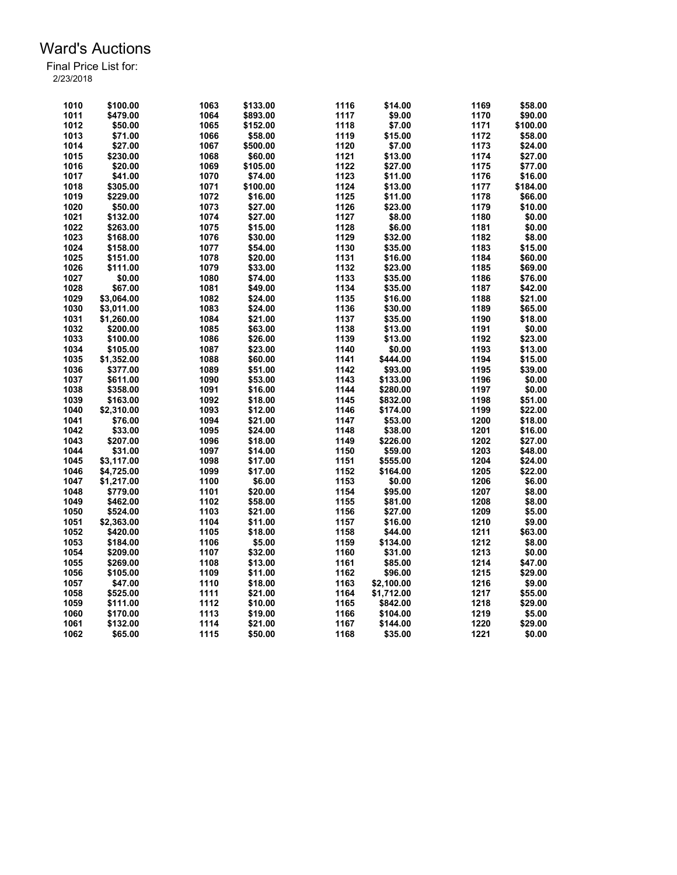| 1010 | \$100.00   | 1063 | \$133.00           | 1116 | \$14.00    | 1169 | \$58.00  |
|------|------------|------|--------------------|------|------------|------|----------|
| 1011 | \$479.00   | 1064 | \$893.00           | 1117 | \$9.00     | 1170 | \$90.00  |
| 1012 | \$50.00    | 1065 | \$152.00           | 1118 | \$7.00     | 1171 | \$100.00 |
| 1013 | \$71.00    | 1066 | \$58.00            | 1119 | \$15.00    | 1172 | \$58.00  |
| 1014 | \$27.00    | 1067 | \$500.00           | 1120 | \$7.00     | 1173 | \$24.00  |
| 1015 | \$230.00   | 1068 | \$60.00            | 1121 | \$13.00    | 1174 | \$27.00  |
| 1016 | \$20.00    | 1069 | \$105.00           | 1122 | \$27.00    | 1175 | \$77.00  |
| 1017 | \$41.00    | 1070 | \$74.00            | 1123 | \$11.00    | 1176 | \$16.00  |
| 1018 | \$305.00   | 1071 | \$100.00           | 1124 | \$13.00    | 1177 | \$184.00 |
| 1019 | \$229.00   | 1072 | \$16.00            | 1125 | \$11.00    | 1178 | \$66.00  |
| 1020 | \$50.00    | 1073 | \$27.00            | 1126 | \$23.00    | 1179 | \$10.00  |
| 1021 | \$132.00   | 1074 | \$27.00            | 1127 | \$8.00     | 1180 | \$0.00   |
| 1022 | \$263.00   | 1075 | \$15.00            | 1128 | \$6.00     | 1181 | \$0.00   |
| 1023 | \$168.00   | 1076 | \$30.00            | 1129 | \$32.00    | 1182 | \$8.00   |
| 1024 | \$158.00   | 1077 | \$54.00            | 1130 | \$35.00    | 1183 | \$15.00  |
| 1025 | \$151.00   | 1078 | \$20.00            | 1131 | \$16.00    | 1184 | \$60.00  |
| 1026 | \$111.00   | 1079 | \$33.00            | 1132 | \$23.00    | 1185 | \$69.00  |
| 1027 | \$0.00     | 1080 | \$74.00            | 1133 | \$35.00    | 1186 | \$76.00  |
| 1028 | \$67.00    | 1081 | \$49.00            | 1134 | \$35.00    | 1187 | \$42.00  |
| 1029 | \$3,064.00 | 1082 | \$24.00            | 1135 | \$16.00    | 1188 | \$21.00  |
| 1030 | \$3,011.00 | 1083 |                    | 1136 | \$30.00    | 1189 | \$65.00  |
| 1031 |            | 1084 | \$24.00<br>\$21.00 | 1137 | \$35.00    | 1190 | \$18.00  |
| 1032 | \$1,260.00 |      |                    |      |            |      |          |
|      | \$200.00   | 1085 | \$63.00            | 1138 | \$13.00    | 1191 | \$0.00   |
| 1033 | \$100.00   | 1086 | \$26.00            | 1139 | \$13.00    | 1192 | \$23.00  |
| 1034 | \$105.00   | 1087 | \$23.00            | 1140 | \$0.00     | 1193 | \$13.00  |
| 1035 | \$1,352.00 | 1088 | \$60.00            | 1141 | \$444.00   | 1194 | \$15.00  |
| 1036 | \$377.00   | 1089 | \$51.00            | 1142 | \$93.00    | 1195 | \$39.00  |
| 1037 | \$611.00   | 1090 | \$53.00            | 1143 | \$133.00   | 1196 | \$0.00   |
| 1038 | \$358.00   | 1091 | \$16.00            | 1144 | \$280.00   | 1197 | \$0.00   |
| 1039 | \$163.00   | 1092 | \$18.00            | 1145 | \$832.00   | 1198 | \$51.00  |
| 1040 | \$2,310.00 | 1093 | \$12.00            | 1146 | \$174.00   | 1199 | \$22.00  |
| 1041 | \$76.00    | 1094 | \$21.00            | 1147 | \$53.00    | 1200 | \$18.00  |
| 1042 | \$33.00    | 1095 | \$24.00            | 1148 | \$38.00    | 1201 | \$16.00  |
| 1043 | \$207.00   | 1096 | \$18.00            | 1149 | \$226.00   | 1202 | \$27.00  |
| 1044 | \$31.00    | 1097 | \$14.00            | 1150 | \$59.00    | 1203 | \$48.00  |
| 1045 | \$3,117.00 | 1098 | \$17.00            | 1151 | \$555.00   | 1204 | \$24.00  |
| 1046 | \$4,725.00 | 1099 | \$17.00            | 1152 | \$164.00   | 1205 | \$22.00  |
| 1047 | \$1,217.00 | 1100 | \$6.00             | 1153 | \$0.00     | 1206 | \$6.00   |
| 1048 | \$779.00   | 1101 | \$20.00            | 1154 | \$95.00    | 1207 | \$8.00   |
| 1049 | \$462.00   | 1102 | \$58.00            | 1155 | \$81.00    | 1208 | \$8.00   |
| 1050 | \$524.00   | 1103 | \$21.00            | 1156 | \$27.00    | 1209 | \$5.00   |
| 1051 | \$2,363.00 | 1104 | \$11.00            | 1157 | \$16.00    | 1210 | \$9.00   |
| 1052 | \$420.00   | 1105 | \$18.00            | 1158 | \$44.00    | 1211 | \$63.00  |
| 1053 | \$184.00   | 1106 | \$5.00             | 1159 | \$134.00   | 1212 | \$8.00   |
| 1054 | \$209.00   | 1107 | \$32.00            | 1160 | \$31.00    | 1213 | \$0.00   |
| 1055 | \$269.00   | 1108 | \$13.00            | 1161 | \$85.00    | 1214 | \$47.00  |
| 1056 | \$105.00   | 1109 | \$11.00            | 1162 | \$96.00    | 1215 | \$29.00  |
| 1057 | \$47.00    | 1110 | \$18.00            | 1163 | \$2,100.00 | 1216 | \$9.00   |
| 1058 | \$525.00   | 1111 | \$21.00            | 1164 | \$1,712.00 | 1217 | \$55.00  |
| 1059 | \$111.00   | 1112 | \$10.00            | 1165 | \$842.00   | 1218 | \$29.00  |
| 1060 | \$170.00   | 1113 | \$19.00            | 1166 | \$104.00   | 1219 | \$5.00   |
| 1061 | \$132.00   | 1114 | \$21.00            | 1167 | \$144.00   | 1220 | \$29.00  |
| 1062 | \$65.00    | 1115 | \$50.00            | 1168 | \$35.00    | 1221 | \$0.00   |
|      |            |      |                    |      |            |      |          |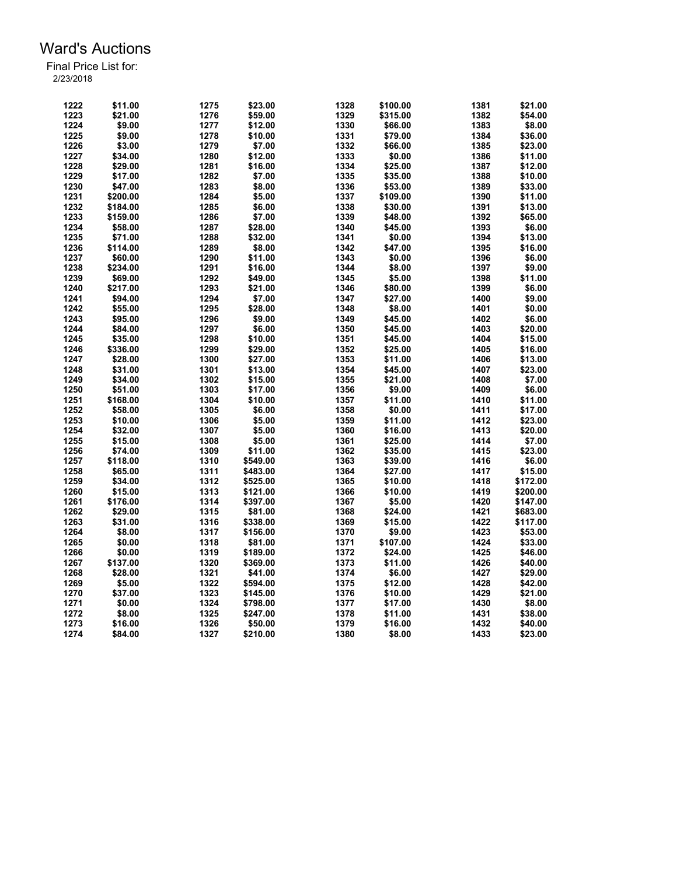| 1222 | \$11.00  | 1275 | \$23.00  | 1328 | \$100.00 | 1381 | \$21.00  |
|------|----------|------|----------|------|----------|------|----------|
| 1223 | \$21.00  | 1276 | \$59.00  | 1329 | \$315.00 | 1382 | \$54.00  |
| 1224 | \$9.00   | 1277 | \$12.00  | 1330 | \$66.00  | 1383 | \$8.00   |
| 1225 | \$9.00   | 1278 | \$10.00  | 1331 | \$79.00  | 1384 | \$36.00  |
| 1226 | \$3.00   | 1279 | \$7.00   | 1332 | \$66.00  | 1385 | \$23.00  |
| 1227 | \$34.00  | 1280 | \$12.00  | 1333 | \$0.00   | 1386 | \$11.00  |
| 1228 | \$29.00  | 1281 | \$16.00  | 1334 | \$25.00  | 1387 | \$12.00  |
| 1229 | \$17.00  | 1282 | \$7.00   | 1335 | \$35.00  | 1388 | \$10.00  |
| 1230 | \$47.00  | 1283 | \$8.00   | 1336 | \$53.00  | 1389 | \$33.00  |
| 1231 | \$200.00 | 1284 | \$5.00   | 1337 | \$109.00 | 1390 | \$11.00  |
| 1232 | \$184.00 | 1285 | \$6.00   | 1338 | \$30.00  | 1391 | \$13.00  |
| 1233 | \$159.00 | 1286 | \$7.00   | 1339 | \$48.00  | 1392 | \$65.00  |
| 1234 | \$58.00  | 1287 | \$28.00  | 1340 | \$45.00  | 1393 | \$6.00   |
| 1235 | \$71.00  | 1288 | \$32.00  | 1341 | \$0.00   | 1394 | \$13.00  |
| 1236 | \$114.00 | 1289 | \$8.00   | 1342 | \$47.00  | 1395 | \$16.00  |
| 1237 | \$60.00  | 1290 | \$11.00  | 1343 | \$0.00   | 1396 | \$6.00   |
| 1238 | \$234.00 | 1291 | \$16.00  | 1344 | \$8.00   | 1397 | \$9.00   |
| 1239 | \$69.00  | 1292 | \$49.00  | 1345 | \$5.00   | 1398 | \$11.00  |
| 1240 | \$217.00 | 1293 |          |      | \$80.00  | 1399 |          |
|      |          |      | \$21.00  | 1346 |          |      | \$6.00   |
| 1241 | \$94.00  | 1294 | \$7.00   | 1347 | \$27.00  | 1400 | \$9.00   |
| 1242 | \$55.00  | 1295 | \$28.00  | 1348 | \$8.00   | 1401 | \$0.00   |
| 1243 | \$95.00  | 1296 | \$9.00   | 1349 | \$45.00  | 1402 | \$6.00   |
| 1244 | \$84.00  | 1297 | \$6.00   | 1350 | \$45.00  | 1403 | \$20.00  |
| 1245 | \$35.00  | 1298 | \$10.00  | 1351 | \$45.00  | 1404 | \$15.00  |
| 1246 | \$336.00 | 1299 | \$29.00  | 1352 | \$25.00  | 1405 | \$16.00  |
| 1247 | \$28.00  | 1300 | \$27.00  | 1353 | \$11.00  | 1406 | \$13.00  |
| 1248 | \$31.00  | 1301 | \$13.00  | 1354 | \$45.00  | 1407 | \$23.00  |
| 1249 | \$34.00  | 1302 | \$15.00  | 1355 | \$21.00  | 1408 | \$7.00   |
| 1250 | \$51.00  | 1303 | \$17.00  | 1356 | \$9.00   | 1409 | \$6.00   |
| 1251 | \$168.00 | 1304 | \$10.00  | 1357 | \$11.00  | 1410 | \$11.00  |
| 1252 | \$58.00  | 1305 | \$6.00   | 1358 | \$0.00   | 1411 | \$17.00  |
| 1253 | \$10.00  | 1306 | \$5.00   | 1359 | \$11.00  | 1412 | \$23.00  |
| 1254 | \$32.00  | 1307 | \$5.00   | 1360 | \$16.00  | 1413 | \$20.00  |
| 1255 | \$15.00  | 1308 | \$5.00   | 1361 | \$25.00  | 1414 | \$7.00   |
| 1256 | \$74.00  | 1309 | \$11.00  | 1362 | \$35.00  | 1415 | \$23.00  |
| 1257 | \$118.00 | 1310 | \$549.00 | 1363 | \$39.00  | 1416 | \$6.00   |
| 1258 | \$65.00  | 1311 | \$483.00 | 1364 | \$27.00  | 1417 | \$15.00  |
| 1259 | \$34.00  | 1312 | \$525.00 | 1365 | \$10.00  | 1418 | \$172.00 |
| 1260 | \$15.00  | 1313 | \$121.00 | 1366 | \$10.00  | 1419 | \$200.00 |
| 1261 | \$176.00 | 1314 | \$397.00 | 1367 | \$5.00   | 1420 | \$147.00 |
| 1262 | \$29.00  | 1315 | \$81.00  | 1368 | \$24.00  | 1421 | \$683.00 |
| 1263 | \$31.00  | 1316 | \$338.00 | 1369 | \$15.00  | 1422 | \$117.00 |
| 1264 | \$8.00   | 1317 | \$156.00 | 1370 | \$9.00   | 1423 | \$53.00  |
| 1265 | \$0.00   | 1318 | \$81.00  | 1371 | \$107.00 | 1424 | \$33.00  |
| 1266 | \$0.00   | 1319 | \$189.00 | 1372 | \$24.00  | 1425 | \$46.00  |
|      |          |      |          |      |          |      |          |
| 1267 | \$137.00 | 1320 | \$369.00 | 1373 | \$11.00  | 1426 | \$40.00  |
| 1268 | \$28.00  | 1321 | \$41.00  | 1374 | \$6.00   | 1427 | \$29.00  |
| 1269 | \$5.00   | 1322 | \$594.00 | 1375 | \$12.00  | 1428 | \$42.00  |
| 1270 | \$37.00  | 1323 | \$145.00 | 1376 | \$10.00  | 1429 | \$21.00  |
| 1271 | \$0.00   | 1324 | \$798.00 | 1377 | \$17.00  | 1430 | \$8.00   |
| 1272 | \$8.00   | 1325 | \$247.00 | 1378 | \$11.00  | 1431 | \$38.00  |
| 1273 | \$16.00  | 1326 | \$50.00  | 1379 | \$16.00  | 1432 | \$40.00  |
| 1274 | \$84.00  | 1327 | \$210.00 | 1380 | \$8.00   | 1433 | \$23.00  |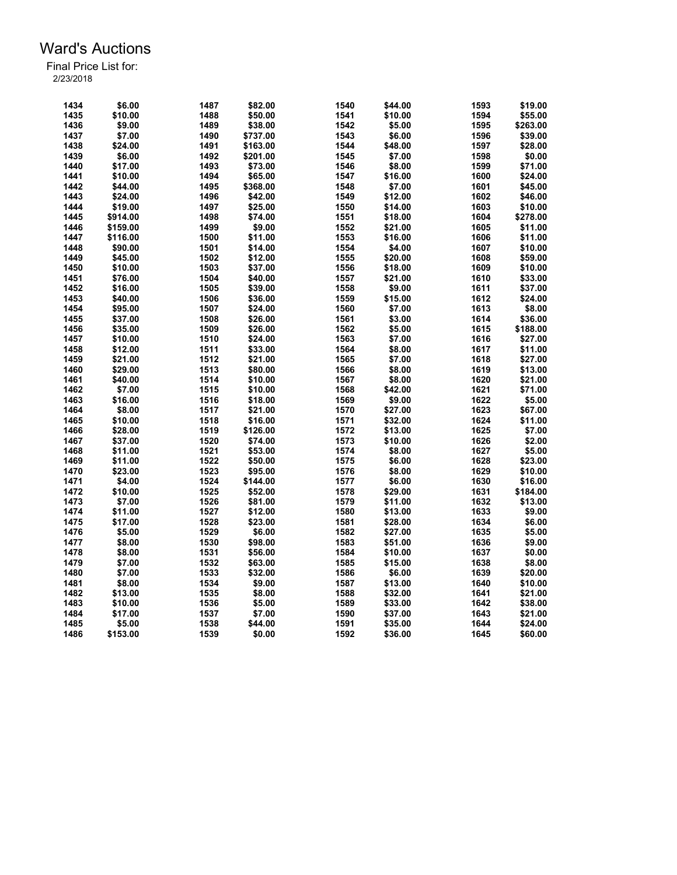|      |          | 1487 |          |      |         |      |          |
|------|----------|------|----------|------|---------|------|----------|
| 1434 | \$6.00   |      | \$82.00  | 1540 | \$44.00 | 1593 | \$19.00  |
| 1435 | \$10.00  | 1488 | \$50.00  | 1541 | \$10.00 | 1594 | \$55.00  |
| 1436 | \$9.00   | 1489 | \$38.00  | 1542 | \$5.00  | 1595 | \$263.00 |
| 1437 | \$7.00   | 1490 | \$737.00 | 1543 | \$6.00  | 1596 | \$39.00  |
| 1438 | \$24.00  | 1491 | \$163.00 | 1544 | \$48.00 | 1597 | \$28.00  |
| 1439 | \$6.00   | 1492 | \$201.00 | 1545 | \$7.00  | 1598 | \$0.00   |
| 1440 | \$17.00  | 1493 | \$73.00  | 1546 | \$8.00  | 1599 | \$71.00  |
| 1441 | \$10.00  | 1494 | \$65.00  | 1547 | \$16.00 | 1600 | \$24.00  |
| 1442 | \$44.00  | 1495 | \$368.00 | 1548 | \$7.00  | 1601 | \$45.00  |
| 1443 | \$24.00  | 1496 | \$42.00  | 1549 | \$12.00 | 1602 | \$46.00  |
| 1444 | \$19.00  | 1497 | \$25.00  | 1550 | \$14.00 | 1603 | \$10.00  |
| 1445 | \$914.00 | 1498 | \$74.00  | 1551 | \$18.00 | 1604 | \$278.00 |
| 1446 | \$159.00 | 1499 | \$9.00   | 1552 | \$21.00 | 1605 | \$11.00  |
| 1447 | \$116.00 | 1500 | \$11.00  | 1553 | \$16.00 | 1606 | \$11.00  |
| 1448 | \$90.00  | 1501 | \$14.00  | 1554 | \$4.00  | 1607 | \$10.00  |
| 1449 | \$45.00  | 1502 | \$12.00  | 1555 | \$20.00 | 1608 | \$59.00  |
| 1450 | \$10.00  | 1503 | \$37.00  | 1556 | \$18.00 | 1609 | \$10.00  |
| 1451 | \$76.00  | 1504 | \$40.00  | 1557 | \$21.00 | 1610 | \$33.00  |
| 1452 | \$16.00  | 1505 | \$39.00  | 1558 | \$9.00  | 1611 | \$37.00  |
| 1453 | \$40.00  |      |          | 1559 | \$15.00 | 1612 | \$24.00  |
|      |          | 1506 | \$36.00  |      |         |      |          |
| 1454 | \$95.00  | 1507 | \$24.00  | 1560 | \$7.00  | 1613 | \$8.00   |
| 1455 | \$37.00  | 1508 | \$26.00  | 1561 | \$3.00  | 1614 | \$36.00  |
| 1456 | \$35.00  | 1509 | \$26.00  | 1562 | \$5.00  | 1615 | \$188.00 |
| 1457 | \$10.00  | 1510 | \$24.00  | 1563 | \$7.00  | 1616 | \$27.00  |
| 1458 | \$12.00  | 1511 | \$33.00  | 1564 | \$8.00  | 1617 | \$11.00  |
| 1459 | \$21.00  | 1512 | \$21.00  | 1565 | \$7.00  | 1618 | \$27.00  |
| 1460 | \$29.00  | 1513 | \$80.00  | 1566 | \$8.00  | 1619 | \$13.00  |
| 1461 | \$40.00  | 1514 | \$10.00  | 1567 | \$8.00  | 1620 | \$21.00  |
| 1462 | \$7.00   | 1515 | \$10.00  | 1568 | \$42.00 | 1621 | \$71.00  |
| 1463 | \$16.00  | 1516 | \$18.00  | 1569 | \$9.00  | 1622 | \$5.00   |
| 1464 | \$8.00   | 1517 | \$21.00  | 1570 | \$27.00 | 1623 | \$67.00  |
| 1465 | \$10.00  | 1518 | \$16.00  | 1571 | \$32.00 | 1624 | \$11.00  |
| 1466 | \$28.00  | 1519 | \$126.00 | 1572 | \$13.00 | 1625 | \$7.00   |
| 1467 | \$37.00  | 1520 | \$74.00  | 1573 | \$10.00 | 1626 | \$2.00   |
| 1468 | \$11.00  | 1521 | \$53.00  | 1574 | \$8.00  | 1627 | \$5.00   |
| 1469 | \$11.00  | 1522 | \$50.00  | 1575 | \$6.00  | 1628 | \$23.00  |
| 1470 | \$23.00  | 1523 | \$95.00  | 1576 | \$8.00  | 1629 | \$10.00  |
| 1471 | \$4.00   | 1524 | \$144.00 | 1577 | \$6.00  | 1630 | \$16.00  |
| 1472 | \$10.00  | 1525 | \$52.00  | 1578 | \$29.00 | 1631 | \$184.00 |
| 1473 | \$7.00   | 1526 | \$81.00  | 1579 | \$11.00 | 1632 | \$13.00  |
| 1474 | \$11.00  | 1527 | \$12.00  | 1580 | \$13.00 | 1633 | \$9.00   |
| 1475 | \$17.00  | 1528 | \$23.00  | 1581 | \$28.00 | 1634 | \$6.00   |
| 1476 | \$5.00   | 1529 | \$6.00   | 1582 | \$27.00 | 1635 | \$5.00   |
| 1477 | \$8.00   | 1530 | \$98.00  | 1583 | \$51.00 | 1636 | \$9.00   |
|      |          |      |          |      |         |      |          |
| 1478 | \$8.00   | 1531 | \$56.00  | 1584 | \$10.00 | 1637 | \$0.00   |
| 1479 | \$7.00   | 1532 | \$63.00  | 1585 | \$15.00 | 1638 | \$8.00   |
| 1480 | \$7.00   | 1533 | \$32.00  | 1586 | \$6.00  | 1639 | \$20.00  |
| 1481 | \$8.00   | 1534 | \$9.00   | 1587 | \$13.00 | 1640 | \$10.00  |
| 1482 | \$13.00  | 1535 | \$8.00   | 1588 | \$32.00 | 1641 | \$21.00  |
| 1483 | \$10.00  | 1536 | \$5.00   | 1589 | \$33.00 | 1642 | \$38.00  |
| 1484 | \$17.00  | 1537 | \$7.00   | 1590 | \$37.00 | 1643 | \$21.00  |
| 1485 | \$5.00   | 1538 | \$44.00  | 1591 | \$35.00 | 1644 | \$24.00  |
| 1486 | \$153.00 | 1539 | \$0.00   | 1592 | \$36.00 | 1645 | \$60.00  |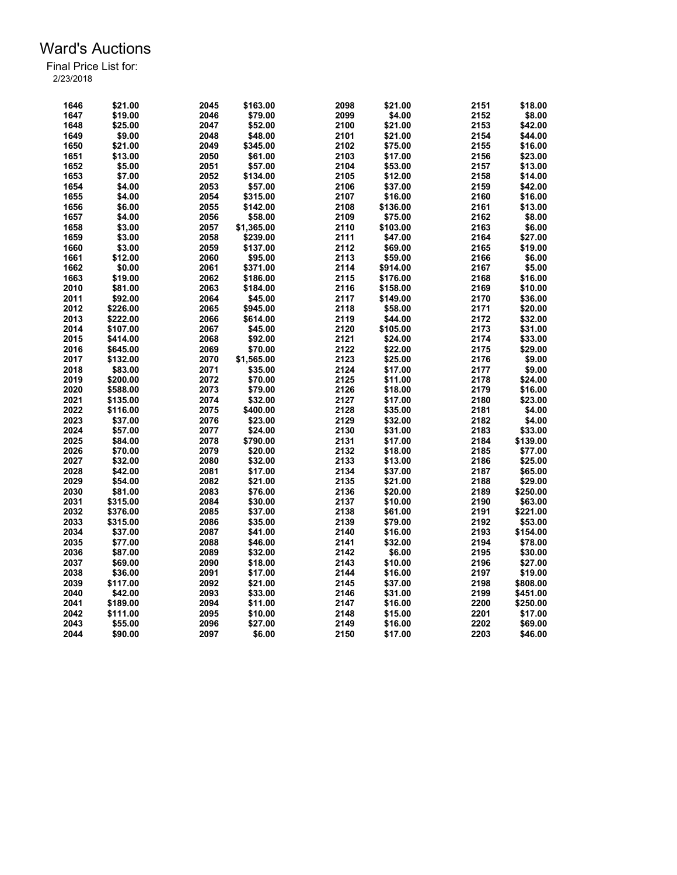| 1646 | \$21.00  | 2045 | \$163.00   | 2098 | \$21.00  | 2151 | \$18.00  |
|------|----------|------|------------|------|----------|------|----------|
| 1647 | \$19.00  | 2046 | \$79.00    | 2099 | \$4.00   | 2152 | \$8.00   |
| 1648 | \$25.00  | 2047 | \$52.00    | 2100 | \$21.00  | 2153 | \$42.00  |
| 1649 | \$9.00   | 2048 | \$48.00    | 2101 | \$21.00  | 2154 | \$44.00  |
| 1650 | \$21.00  | 2049 | \$345.00   | 2102 | \$75.00  | 2155 | \$16.00  |
| 1651 | \$13.00  | 2050 | \$61.00    | 2103 | \$17.00  | 2156 | \$23.00  |
|      |          |      |            |      |          |      |          |
| 1652 | \$5.00   | 2051 | \$57.00    | 2104 | \$53.00  | 2157 | \$13.00  |
| 1653 | \$7.00   | 2052 | \$134.00   | 2105 | \$12.00  | 2158 | \$14.00  |
| 1654 | \$4.00   | 2053 | \$57.00    | 2106 | \$37.00  | 2159 | \$42.00  |
| 1655 | \$4.00   | 2054 | \$315.00   | 2107 | \$16.00  | 2160 | \$16.00  |
| 1656 | \$6.00   | 2055 | \$142.00   | 2108 | \$136.00 | 2161 | \$13.00  |
| 1657 | \$4.00   | 2056 | \$58.00    | 2109 | \$75.00  | 2162 | \$8.00   |
| 1658 | \$3.00   | 2057 | \$1,365.00 | 2110 | \$103.00 | 2163 | \$6.00   |
| 1659 | \$3.00   | 2058 | \$239.00   | 2111 | \$47.00  | 2164 | \$27.00  |
| 1660 | \$3.00   | 2059 | \$137.00   | 2112 | \$69.00  | 2165 | \$19.00  |
| 1661 | \$12.00  | 2060 | \$95.00    | 2113 | \$59.00  | 2166 | \$6.00   |
| 1662 | \$0.00   | 2061 | \$371.00   | 2114 | \$914.00 | 2167 | \$5.00   |
| 1663 | \$19.00  | 2062 | \$186.00   | 2115 | \$176.00 | 2168 | \$16.00  |
| 2010 | \$81.00  | 2063 | \$184.00   | 2116 | \$158.00 | 2169 | \$10.00  |
| 2011 | \$92.00  | 2064 | \$45.00    | 2117 | \$149.00 | 2170 | \$36.00  |
| 2012 | \$226.00 | 2065 | \$945.00   | 2118 | \$58.00  | 2171 | \$20.00  |
| 2013 | \$222.00 | 2066 | \$614.00   | 2119 | \$44.00  | 2172 | \$32.00  |
| 2014 | \$107.00 | 2067 | \$45.00    | 2120 | \$105.00 | 2173 | \$31.00  |
| 2015 | \$414.00 | 2068 | \$92.00    | 2121 | \$24.00  | 2174 | \$33.00  |
| 2016 | \$645.00 | 2069 | \$70.00    | 2122 | \$22.00  | 2175 | \$29.00  |
| 2017 | \$132.00 | 2070 | \$1,565.00 | 2123 | \$25.00  | 2176 | \$9.00   |
| 2018 | \$83.00  | 2071 | \$35.00    | 2124 | \$17.00  | 2177 | \$9.00   |
| 2019 | \$200.00 | 2072 | \$70.00    | 2125 | \$11.00  | 2178 | \$24.00  |
| 2020 | \$588.00 | 2073 | \$79.00    | 2126 | \$18.00  | 2179 | \$16.00  |
| 2021 | \$135.00 | 2074 | \$32.00    | 2127 | \$17.00  | 2180 | \$23.00  |
| 2022 | \$116.00 | 2075 | \$400.00   | 2128 | \$35.00  | 2181 | \$4.00   |
| 2023 | \$37.00  | 2076 | \$23.00    | 2129 | \$32.00  | 2182 | \$4.00   |
| 2024 | \$57.00  | 2077 | \$24.00    | 2130 | \$31.00  | 2183 | \$33.00  |
| 2025 |          | 2078 |            |      |          |      | \$139.00 |
|      | \$84.00  |      | \$790.00   | 2131 | \$17.00  | 2184 |          |
| 2026 | \$70.00  | 2079 | \$20.00    | 2132 | \$18.00  | 2185 | \$77.00  |
| 2027 | \$32.00  | 2080 | \$32.00    | 2133 | \$13.00  | 2186 | \$25.00  |
| 2028 | \$42.00  | 2081 | \$17.00    | 2134 | \$37.00  | 2187 | \$65.00  |
| 2029 | \$54.00  | 2082 | \$21.00    | 2135 | \$21.00  | 2188 | \$29.00  |
| 2030 | \$81.00  | 2083 | \$76.00    | 2136 | \$20.00  | 2189 | \$250.00 |
| 2031 | \$315.00 | 2084 | \$30.00    | 2137 | \$10.00  | 2190 | \$63.00  |
| 2032 | \$376.00 | 2085 | \$37.00    | 2138 | \$61.00  | 2191 | \$221.00 |
| 2033 | \$315.00 | 2086 | \$35.00    | 2139 | \$79.00  | 2192 | \$53.00  |
| 2034 | \$37.00  | 2087 | \$41.00    | 2140 | \$16.00  | 2193 | \$154.00 |
| 2035 | \$77.00  | 2088 | \$46.00    | 2141 | \$32.00  | 2194 | \$78.00  |
| 2036 | \$87.00  | 2089 | \$32.00    | 2142 | \$6.00   | 2195 | \$30.00  |
| 2037 | \$69.00  | 2090 | \$18.00    | 2143 | \$10.00  | 2196 | \$27.00  |
| 2038 | \$36.00  | 2091 | \$17.00    | 2144 | \$16.00  | 2197 | \$19.00  |
| 2039 | \$117.00 | 2092 | \$21.00    | 2145 | \$37.00  | 2198 | \$808.00 |
| 2040 | \$42.00  | 2093 | \$33.00    | 2146 | \$31.00  | 2199 | \$451.00 |
| 2041 | \$189.00 | 2094 | \$11.00    | 2147 | \$16.00  | 2200 | \$250.00 |
| 2042 | \$111.00 | 2095 | \$10.00    | 2148 | \$15.00  | 2201 | \$17.00  |
| 2043 | \$55.00  | 2096 | \$27.00    | 2149 | \$16.00  | 2202 | \$69.00  |
| 2044 | \$90.00  | 2097 | \$6.00     | 2150 | \$17.00  | 2203 | \$46.00  |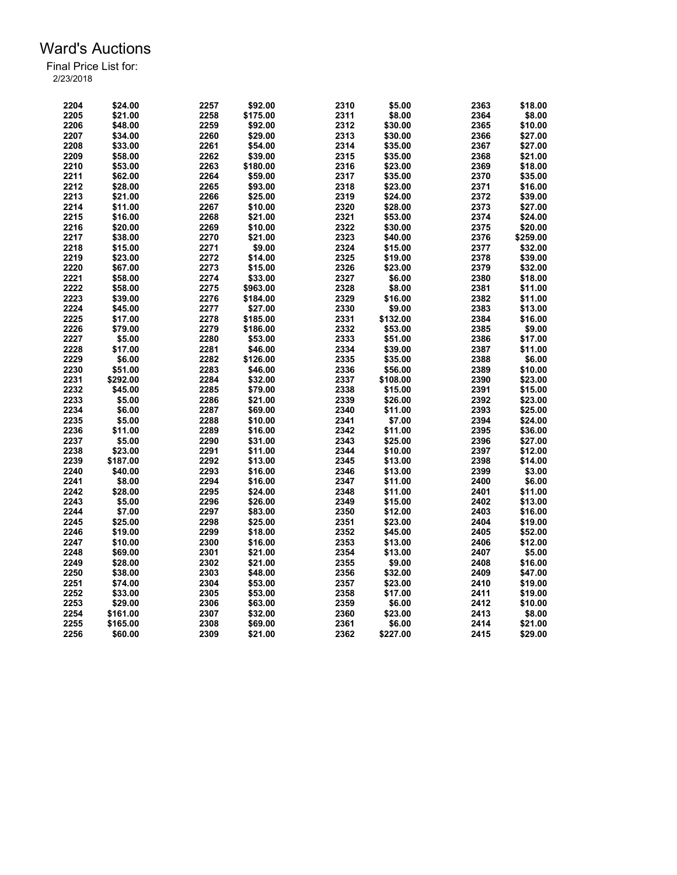| 2204 | \$24.00  | 2257 | \$92.00  | 2310 | \$5.00   | 2363 | \$18.00  |
|------|----------|------|----------|------|----------|------|----------|
| 2205 | \$21.00  | 2258 | \$175.00 | 2311 | \$8.00   | 2364 | \$8.00   |
| 2206 | \$48.00  | 2259 | \$92.00  | 2312 | \$30.00  | 2365 | \$10.00  |
| 2207 | \$34.00  | 2260 | \$29.00  | 2313 | \$30.00  | 2366 | \$27.00  |
| 2208 | \$33.00  | 2261 | \$54.00  | 2314 | \$35.00  | 2367 | \$27.00  |
| 2209 | \$58.00  | 2262 | \$39.00  | 2315 | \$35.00  | 2368 | \$21.00  |
| 2210 | \$53.00  | 2263 | \$180.00 | 2316 | \$23.00  | 2369 | \$18.00  |
| 2211 | \$62.00  | 2264 | \$59.00  | 2317 | \$35.00  | 2370 | \$35.00  |
| 2212 | \$28.00  | 2265 | \$93.00  | 2318 | \$23.00  | 2371 |          |
|      |          |      |          |      |          |      | \$16.00  |
| 2213 | \$21.00  | 2266 | \$25.00  | 2319 | \$24.00  | 2372 | \$39.00  |
| 2214 | \$11.00  | 2267 | \$10.00  | 2320 | \$28.00  | 2373 | \$27.00  |
| 2215 | \$16.00  | 2268 | \$21.00  | 2321 | \$53.00  | 2374 | \$24.00  |
| 2216 | \$20.00  | 2269 | \$10.00  | 2322 | \$30.00  | 2375 | \$20.00  |
| 2217 | \$38.00  | 2270 | \$21.00  | 2323 | \$40.00  | 2376 | \$259.00 |
| 2218 | \$15.00  | 2271 | \$9.00   | 2324 | \$15.00  | 2377 | \$32.00  |
| 2219 | \$23.00  | 2272 | \$14.00  | 2325 | \$19.00  | 2378 | \$39.00  |
| 2220 | \$67.00  | 2273 | \$15.00  | 2326 | \$23.00  | 2379 | \$32.00  |
| 2221 | \$58.00  | 2274 | \$33.00  | 2327 | \$6.00   | 2380 | \$18.00  |
| 2222 | \$58.00  | 2275 | \$963.00 | 2328 | \$8.00   | 2381 | \$11.00  |
| 2223 | \$39.00  | 2276 |          | 2329 | \$16.00  | 2382 | \$11.00  |
|      |          |      | \$184.00 |      |          |      |          |
| 2224 | \$45.00  | 2277 | \$27.00  | 2330 | \$9.00   | 2383 | \$13.00  |
| 2225 | \$17.00  | 2278 | \$185.00 | 2331 | \$132.00 | 2384 | \$16.00  |
| 2226 | \$79.00  | 2279 | \$186.00 | 2332 | \$53.00  | 2385 | \$9.00   |
| 2227 | \$5.00   | 2280 | \$53.00  | 2333 | \$51.00  | 2386 | \$17.00  |
| 2228 | \$17.00  | 2281 | \$46.00  | 2334 | \$39.00  | 2387 | \$11.00  |
| 2229 | \$6.00   | 2282 | \$126.00 | 2335 | \$35.00  | 2388 | \$6.00   |
| 2230 | \$51.00  | 2283 | \$46.00  | 2336 | \$56.00  | 2389 | \$10.00  |
| 2231 | \$292.00 | 2284 | \$32.00  | 2337 | \$108.00 | 2390 | \$23.00  |
| 2232 | \$45.00  | 2285 | \$79.00  | 2338 | \$15.00  | 2391 | \$15.00  |
| 2233 | \$5.00   | 2286 | \$21.00  | 2339 | \$26.00  | 2392 | \$23.00  |
| 2234 | \$6.00   | 2287 | \$69.00  | 2340 | \$11.00  | 2393 | \$25.00  |
| 2235 |          | 2288 |          | 2341 |          | 2394 |          |
|      | \$5.00   |      | \$10.00  |      | \$7.00   |      | \$24.00  |
| 2236 | \$11.00  | 2289 | \$16.00  | 2342 | \$11.00  | 2395 | \$36.00  |
| 2237 | \$5.00   | 2290 | \$31.00  | 2343 | \$25.00  | 2396 | \$27.00  |
| 2238 | \$23.00  | 2291 | \$11.00  | 2344 | \$10.00  | 2397 | \$12.00  |
| 2239 | \$187.00 | 2292 | \$13.00  | 2345 | \$13.00  | 2398 | \$14.00  |
| 2240 | \$40.00  | 2293 | \$16.00  | 2346 | \$13.00  | 2399 | \$3.00   |
| 2241 | \$8.00   | 2294 | \$16.00  | 2347 | \$11.00  | 2400 | \$6.00   |
| 2242 | \$28.00  | 2295 | \$24.00  | 2348 | \$11.00  | 2401 | \$11.00  |
| 2243 | \$5.00   | 2296 | \$26.00  | 2349 | \$15.00  | 2402 | \$13.00  |
| 2244 | \$7.00   | 2297 | \$83.00  | 2350 | \$12.00  | 2403 | \$16.00  |
| 2245 | \$25.00  | 2298 | \$25.00  | 2351 | \$23.00  | 2404 | \$19.00  |
| 2246 | \$19.00  | 2299 | \$18.00  | 2352 | \$45.00  | 2405 | \$52.00  |
| 2247 |          | 2300 |          | 2353 |          | 2406 | \$12.00  |
|      | \$10.00  |      | \$16.00  |      | \$13.00  |      |          |
| 2248 | \$69.00  | 2301 | \$21.00  | 2354 | \$13.00  | 2407 | \$5.00   |
| 2249 | \$28.00  | 2302 | \$21.00  | 2355 | \$9.00   | 2408 | \$16.00  |
| 2250 | \$38.00  | 2303 | \$48.00  | 2356 | \$32.00  | 2409 | \$47.00  |
| 2251 | \$74.00  | 2304 | \$53.00  | 2357 | \$23.00  | 2410 | \$19.00  |
| 2252 | \$33.00  | 2305 | \$53.00  | 2358 | \$17.00  | 2411 | \$19.00  |
| 2253 | \$29.00  | 2306 | \$63.00  | 2359 | \$6.00   | 2412 | \$10.00  |
| 2254 | \$161.00 | 2307 | \$32.00  | 2360 | \$23.00  | 2413 | \$8.00   |
| 2255 | \$165.00 | 2308 | \$69.00  | 2361 | \$6.00   | 2414 | \$21.00  |
| 2256 | \$60.00  | 2309 | \$21.00  | 2362 | \$227.00 | 2415 | \$29.00  |
|      |          |      |          |      |          |      |          |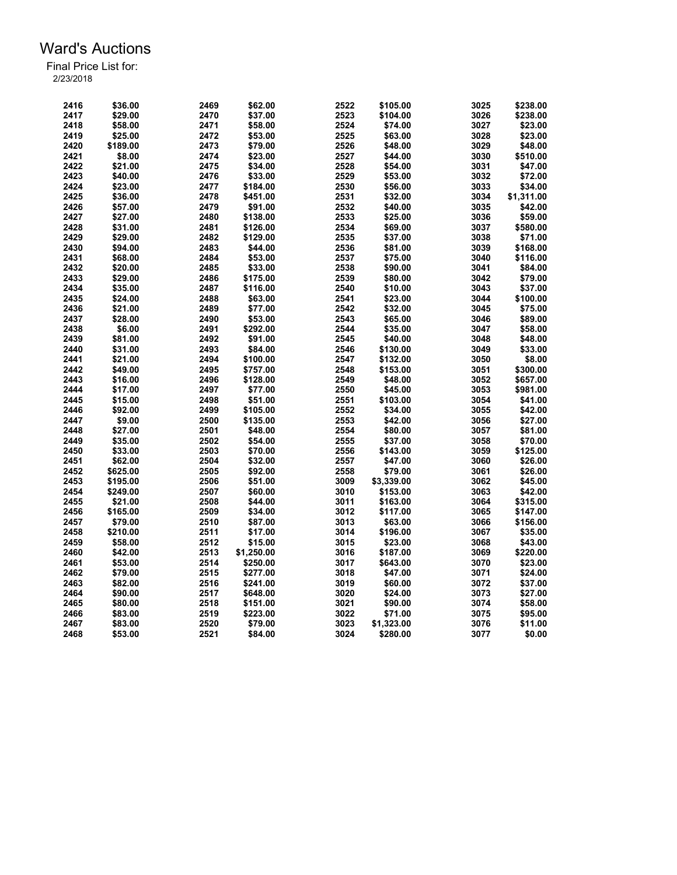| 2416 | \$36.00  | 2469 | \$62.00    | 2522 | \$105.00   | 3025 | \$238.00   |
|------|----------|------|------------|------|------------|------|------------|
| 2417 | \$29.00  | 2470 | \$37.00    | 2523 | \$104.00   | 3026 | \$238.00   |
| 2418 | \$58.00  | 2471 | \$58.00    | 2524 | \$74.00    | 3027 | \$23.00    |
| 2419 | \$25.00  | 2472 | \$53.00    | 2525 | \$63.00    | 3028 | \$23.00    |
| 2420 | \$189.00 | 2473 | \$79.00    | 2526 | \$48.00    | 3029 | \$48.00    |
| 2421 | \$8.00   | 2474 | \$23.00    | 2527 | \$44.00    | 3030 | \$510.00   |
| 2422 | \$21.00  | 2475 | \$34.00    | 2528 | \$54.00    | 3031 | \$47.00    |
| 2423 | \$40.00  | 2476 | \$33.00    | 2529 | \$53.00    | 3032 | \$72.00    |
| 2424 | \$23.00  | 2477 | \$184.00   | 2530 | \$56.00    | 3033 | \$34.00    |
| 2425 | \$36.00  | 2478 | \$451.00   | 2531 | \$32.00    |      | \$1,311.00 |
|      |          |      |            |      |            | 3034 |            |
| 2426 | \$57.00  | 2479 | \$91.00    | 2532 | \$40.00    | 3035 | \$42.00    |
| 2427 | \$27.00  | 2480 | \$138.00   | 2533 | \$25.00    | 3036 | \$59.00    |
| 2428 | \$31.00  | 2481 | \$126.00   | 2534 | \$69.00    | 3037 | \$580.00   |
| 2429 | \$29.00  | 2482 | \$129.00   | 2535 | \$37.00    | 3038 | \$71.00    |
| 2430 | \$94.00  | 2483 | \$44.00    | 2536 | \$81.00    | 3039 | \$168.00   |
| 2431 | \$68.00  | 2484 | \$53.00    | 2537 | \$75.00    | 3040 | \$116.00   |
| 2432 | \$20.00  | 2485 | \$33.00    | 2538 | \$90.00    | 3041 | \$84.00    |
| 2433 | \$29.00  | 2486 | \$175.00   | 2539 | \$80.00    | 3042 | \$79.00    |
| 2434 | \$35.00  | 2487 | \$116.00   | 2540 | \$10.00    | 3043 | \$37.00    |
| 2435 | \$24.00  | 2488 | \$63.00    | 2541 | \$23.00    | 3044 | \$100.00   |
| 2436 | \$21.00  | 2489 | \$77.00    | 2542 | \$32.00    | 3045 | \$75.00    |
| 2437 | \$28.00  | 2490 | \$53.00    | 2543 | \$65.00    | 3046 | \$89.00    |
| 2438 | \$6.00   | 2491 | \$292.00   | 2544 | \$35.00    | 3047 | \$58.00    |
| 2439 | \$81.00  | 2492 | \$91.00    | 2545 | \$40.00    | 3048 | \$48.00    |
| 2440 | \$31.00  | 2493 | \$84.00    | 2546 | \$130.00   | 3049 | \$33.00    |
| 2441 | \$21.00  | 2494 | \$100.00   | 2547 | \$132.00   | 3050 | \$8.00     |
| 2442 | \$49.00  | 2495 | \$757.00   | 2548 | \$153.00   | 3051 | \$300.00   |
| 2443 | \$16.00  | 2496 | \$128.00   | 2549 | \$48.00    | 3052 | \$657.00   |
| 2444 | \$17.00  | 2497 | \$77.00    | 2550 | \$45.00    | 3053 | \$981.00   |
| 2445 | \$15.00  | 2498 | \$51.00    | 2551 | \$103.00   | 3054 | \$41.00    |
| 2446 | \$92.00  | 2499 | \$105.00   | 2552 | \$34.00    | 3055 | \$42.00    |
| 2447 | \$9.00   | 2500 | \$135.00   | 2553 | \$42.00    | 3056 | \$27.00    |
| 2448 | \$27.00  | 2501 | \$48.00    | 2554 | \$80.00    | 3057 | \$81.00    |
| 2449 | \$35.00  | 2502 | \$54.00    | 2555 | \$37.00    | 3058 | \$70.00    |
| 2450 |          | 2503 |            |      |            |      |            |
|      | \$33.00  |      | \$70.00    | 2556 | \$143.00   | 3059 | \$125.00   |
| 2451 | \$62.00  | 2504 | \$32.00    | 2557 | \$47.00    | 3060 | \$26.00    |
| 2452 | \$625.00 | 2505 | \$92.00    | 2558 | \$79.00    | 3061 | \$26.00    |
| 2453 | \$195.00 | 2506 | \$51.00    | 3009 | \$3,339.00 | 3062 | \$45.00    |
| 2454 | \$249.00 | 2507 | \$60.00    | 3010 | \$153.00   | 3063 | \$42.00    |
| 2455 | \$21.00  | 2508 | \$44.00    | 3011 | \$163.00   | 3064 | \$315.00   |
| 2456 | \$165.00 | 2509 | \$34.00    | 3012 | \$117.00   | 3065 | \$147.00   |
| 2457 | \$79.00  | 2510 | \$87.00    | 3013 | \$63.00    | 3066 | \$156.00   |
| 2458 | \$210.00 | 2511 | \$17.00    | 3014 | \$196.00   | 3067 | \$35.00    |
| 2459 | \$58.00  | 2512 | \$15.00    | 3015 | \$23.00    | 3068 | \$43.00    |
| 2460 | \$42.00  | 2513 | \$1,250.00 | 3016 | \$187.00   | 3069 | \$220.00   |
| 2461 | \$53.00  | 2514 | \$250.00   | 3017 | \$643.00   | 3070 | \$23.00    |
| 2462 | \$79.00  | 2515 | \$277.00   | 3018 | \$47.00    | 3071 | \$24.00    |
| 2463 | \$82.00  | 2516 | \$241.00   | 3019 | \$60.00    | 3072 | \$37.00    |
| 2464 | \$90.00  | 2517 | \$648.00   | 3020 | \$24.00    | 3073 | \$27.00    |
| 2465 | \$80.00  | 2518 | \$151.00   | 3021 | \$90.00    | 3074 | \$58.00    |
| 2466 | \$83.00  | 2519 | \$223.00   | 3022 | \$71.00    | 3075 | \$95.00    |
| 2467 | \$83.00  | 2520 | \$79.00    | 3023 | \$1,323.00 | 3076 | \$11.00    |
| 2468 | \$53.00  | 2521 | \$84.00    | 3024 | \$280.00   | 3077 | \$0.00     |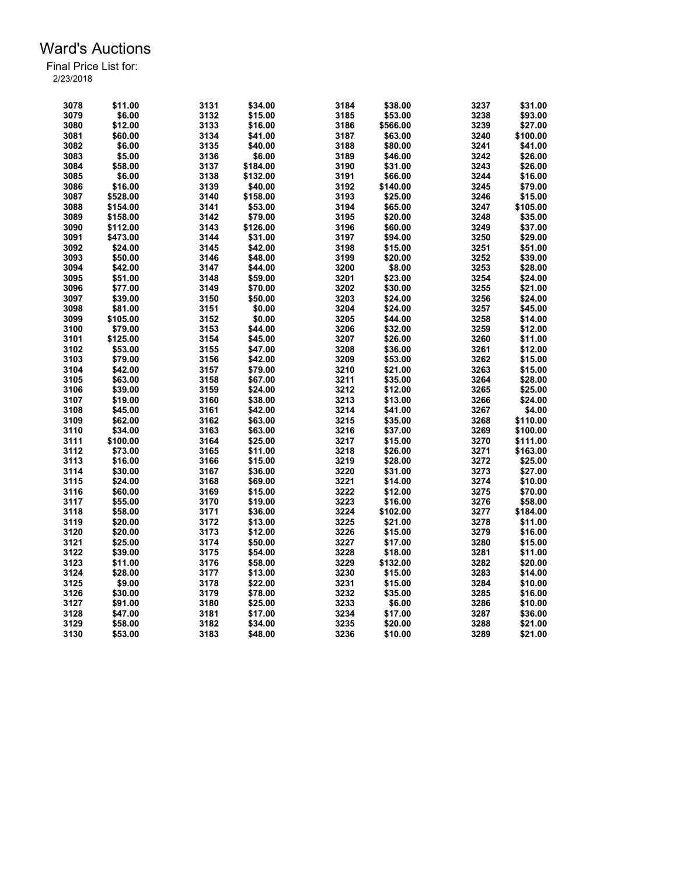| 3078 | \$11.00  | 3131 | \$34.00  | 3184 | \$38.00  | 3237 | \$31.00  |
|------|----------|------|----------|------|----------|------|----------|
| 3079 | \$6.00   | 3132 | \$15.00  | 3185 | \$53.00  | 3238 | \$93.00  |
| 3080 | \$12.00  | 3133 | \$16.00  | 3186 | \$566.00 | 3239 | \$27.00  |
| 3081 | \$60.00  | 3134 | \$41.00  | 3187 | \$63.00  | 3240 | \$100.00 |
| 3082 | \$6.00   | 3135 | \$40.00  | 3188 | \$80.00  | 3241 | \$41.00  |
| 3083 | \$5.00   | 3136 | \$6.00   | 3189 | \$46.00  | 3242 | \$26.00  |
| 3084 | \$58.00  | 3137 | \$184.00 | 3190 | \$31.00  | 3243 | \$26.00  |
| 3085 | \$6.00   | 3138 | \$132.00 | 3191 | \$66.00  | 3244 | \$16.00  |
| 3086 | \$16.00  | 3139 | \$40.00  | 3192 | \$140.00 | 3245 | \$79.00  |
| 3087 | \$528.00 | 3140 | \$158.00 | 3193 | \$25.00  | 3246 | \$15.00  |
| 3088 | \$154.00 | 3141 | \$53.00  | 3194 | \$65.00  | 3247 | \$105.00 |
| 3089 | \$158.00 | 3142 | \$79.00  | 3195 | \$20.00  | 3248 | \$35.00  |
| 3090 | \$112.00 | 3143 | \$126.00 | 3196 | \$60.00  | 3249 | \$37.00  |
| 3091 | \$473.00 | 3144 | \$31.00  | 3197 | \$94.00  | 3250 | \$29.00  |
| 3092 | \$24.00  | 3145 | \$42.00  | 3198 | \$15.00  | 3251 | \$51.00  |
| 3093 | \$50.00  | 3146 | \$48.00  | 3199 | \$20.00  | 3252 | \$39.00  |
| 3094 | \$42.00  | 3147 | \$44.00  | 3200 | \$8.00   | 3253 | \$28.00  |
| 3095 | \$51.00  | 3148 | \$59.00  | 3201 | \$23.00  | 3254 | \$24.00  |
| 3096 | \$77.00  |      |          | 3202 |          |      |          |
| 3097 |          | 3149 | \$70.00  | 3203 | \$30.00  | 3255 | \$21.00  |
|      | \$39.00  | 3150 | \$50.00  |      | \$24.00  | 3256 | \$24.00  |
| 3098 | \$81.00  | 3151 | \$0.00   | 3204 | \$24.00  | 3257 | \$45.00  |
| 3099 | \$105.00 | 3152 | \$0.00   | 3205 | \$44.00  | 3258 | \$14.00  |
| 3100 | \$79.00  | 3153 | \$44.00  | 3206 | \$32.00  | 3259 | \$12.00  |
| 3101 | \$125.00 | 3154 | \$45.00  | 3207 | \$26.00  | 3260 | \$11.00  |
| 3102 | \$53.00  | 3155 | \$47.00  | 3208 | \$36.00  | 3261 | \$12.00  |
| 3103 | \$79.00  | 3156 | \$42.00  | 3209 | \$53.00  | 3262 | \$15.00  |
| 3104 | \$42.00  | 3157 | \$79.00  | 3210 | \$21.00  | 3263 | \$15.00  |
| 3105 | \$63.00  | 3158 | \$67.00  | 3211 | \$35.00  | 3264 | \$28.00  |
| 3106 | \$39.00  | 3159 | \$24.00  | 3212 | \$12.00  | 3265 | \$25.00  |
| 3107 | \$19.00  | 3160 | \$38.00  | 3213 | \$13.00  | 3266 | \$24.00  |
| 3108 | \$45.00  | 3161 | \$42.00  | 3214 | \$41.00  | 3267 | \$4.00   |
| 3109 | \$62.00  | 3162 | \$63.00  | 3215 | \$35.00  | 3268 | \$110.00 |
| 3110 | \$34.00  | 3163 | \$63.00  | 3216 | \$37.00  | 3269 | \$100.00 |
| 3111 | \$100.00 | 3164 | \$25.00  | 3217 | \$15.00  | 3270 | \$111.00 |
| 3112 | \$73.00  | 3165 | \$11.00  | 3218 | \$26.00  | 3271 | \$163.00 |
| 3113 | \$16.00  | 3166 | \$15.00  | 3219 | \$28.00  | 3272 | \$25.00  |
| 3114 | \$30.00  | 3167 | \$36.00  | 3220 | \$31.00  | 3273 | \$27.00  |
| 3115 | \$24.00  | 3168 | \$69.00  | 3221 | \$14.00  | 3274 | \$10.00  |
| 3116 | \$60.00  | 3169 | \$15.00  | 3222 | \$12.00  | 3275 | \$70.00  |
| 3117 | \$55.00  | 3170 | \$19.00  | 3223 | \$16.00  | 3276 | \$58.00  |
| 3118 | \$58.00  | 3171 | \$36.00  | 3224 | \$102.00 | 3277 | \$184.00 |
| 3119 | \$20.00  | 3172 | \$13.00  | 3225 | \$21.00  | 3278 | \$11.00  |
| 3120 | \$20.00  | 3173 | \$12.00  | 3226 | \$15.00  | 3279 | \$16.00  |
| 3121 | \$25.00  | 3174 | \$50.00  | 3227 | \$17.00  | 3280 | \$15.00  |
| 3122 | \$39.00  | 3175 | \$54.00  | 3228 | \$18.00  | 3281 | \$11.00  |
| 3123 | \$11.00  | 3176 | \$58.00  | 3229 | \$132.00 | 3282 | \$20.00  |
| 3124 | \$28.00  | 3177 | \$13.00  | 3230 | \$15.00  | 3283 | \$14.00  |
| 3125 | \$9.00   | 3178 | \$22.00  | 3231 | \$15.00  | 3284 | \$10.00  |
| 3126 | \$30.00  | 3179 | \$78.00  | 3232 | \$35.00  | 3285 | \$16.00  |
| 3127 | \$91.00  | 3180 | \$25.00  | 3233 | \$6.00   | 3286 | \$10.00  |
| 3128 | \$47.00  | 3181 | \$17.00  | 3234 | \$17.00  | 3287 | \$36.00  |
| 3129 | \$58.00  | 3182 | \$34.00  | 3235 | \$20.00  | 3288 | \$21.00  |
| 3130 | \$53.00  | 3183 | \$48.00  | 3236 | \$10.00  | 3289 | \$21.00  |
|      |          |      |          |      |          |      |          |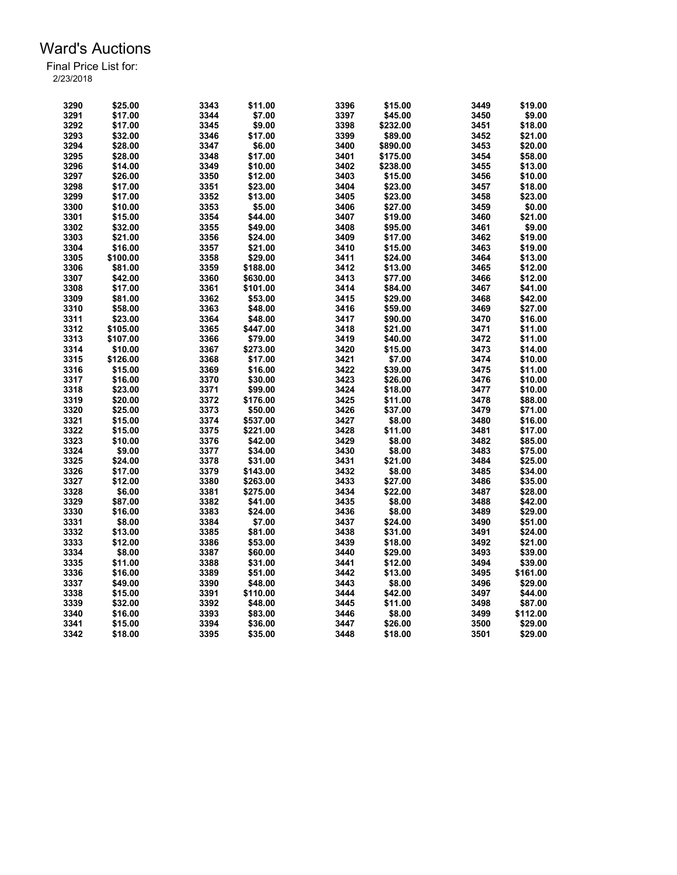| 3290 | \$25.00  | 3343 | \$11.00  | 3396 | \$15.00  | 3449         | \$19.00  |
|------|----------|------|----------|------|----------|--------------|----------|
| 3291 | \$17.00  | 3344 | \$7.00   | 3397 | \$45.00  | 3450         | \$9.00   |
| 3292 | \$17.00  | 3345 | \$9.00   | 3398 | \$232.00 | 3451         | \$18.00  |
| 3293 | \$32.00  | 3346 | \$17.00  | 3399 | \$89.00  | 3452         | \$21.00  |
| 3294 | \$28.00  | 3347 | \$6.00   | 3400 | \$890.00 | 3453         | \$20.00  |
| 3295 | \$28.00  | 3348 | \$17.00  | 3401 | \$175.00 | 3454         | \$58.00  |
| 3296 | \$14.00  | 3349 | \$10.00  | 3402 | \$238.00 | 3455         | \$13.00  |
| 3297 | \$26.00  | 3350 | \$12.00  | 3403 | \$15.00  | 3456         | \$10.00  |
| 3298 | \$17.00  | 3351 | \$23.00  | 3404 | \$23.00  | 3457         | \$18.00  |
| 3299 | \$17.00  | 3352 | \$13.00  | 3405 | \$23.00  | 3458         | \$23.00  |
| 3300 | \$10.00  | 3353 | \$5.00   | 3406 | \$27.00  | 3459         | \$0.00   |
| 3301 | \$15.00  | 3354 | \$44.00  | 3407 | \$19.00  | 3460         | \$21.00  |
| 3302 | \$32.00  | 3355 | \$49.00  | 3408 | \$95.00  | 3461         | \$9.00   |
| 3303 | \$21.00  | 3356 | \$24.00  | 3409 | \$17.00  | 3462         | \$19.00  |
| 3304 | \$16.00  | 3357 | \$21.00  | 3410 | \$15.00  | 3463         | \$19.00  |
| 3305 | \$100.00 | 3358 | \$29.00  | 3411 | \$24.00  | 3464         | \$13.00  |
| 3306 | \$81.00  | 3359 | \$188.00 | 3412 | \$13.00  | 3465         | \$12.00  |
| 3307 | \$42.00  | 3360 | \$630.00 | 3413 | \$77.00  | 3466         | \$12.00  |
|      |          |      |          |      |          |              |          |
| 3308 | \$17.00  | 3361 | \$101.00 | 3414 | \$84.00  | 3467         | \$41.00  |
| 3309 | \$81.00  | 3362 | \$53.00  | 3415 | \$29.00  | 3468         | \$42.00  |
| 3310 | \$58.00  | 3363 | \$48.00  | 3416 | \$59.00  | 3469         | \$27.00  |
| 3311 | \$23.00  | 3364 | \$48.00  | 3417 | \$90.00  | 3470         | \$16.00  |
| 3312 | \$105.00 | 3365 | \$447.00 | 3418 | \$21.00  | 3471         | \$11.00  |
| 3313 | \$107.00 | 3366 | \$79.00  | 3419 | \$40.00  | 3472         | \$11.00  |
| 3314 | \$10.00  | 3367 | \$273.00 | 3420 | \$15.00  | 3473         | \$14.00  |
| 3315 | \$126.00 | 3368 | \$17.00  | 3421 | \$7.00   | 3474         | \$10.00  |
| 3316 | \$15.00  | 3369 | \$16.00  | 3422 | \$39.00  | 3475         | \$11.00  |
| 3317 | \$16.00  | 3370 | \$30.00  | 3423 | \$26.00  | 3476         | \$10.00  |
| 3318 | \$23.00  | 3371 | \$99.00  | 3424 | \$18.00  | 3477         | \$10.00  |
| 3319 | \$20.00  | 3372 | \$176.00 | 3425 | \$11.00  | 3478         | \$88.00  |
| 3320 | \$25.00  | 3373 | \$50.00  | 3426 | \$37.00  | 3479         | \$71.00  |
| 3321 | \$15.00  | 3374 | \$537.00 | 3427 | \$8.00   | 3480         | \$16.00  |
| 3322 | \$15.00  | 3375 | \$221.00 | 3428 | \$11.00  | 3481         | \$17.00  |
| 3323 | \$10.00  | 3376 | \$42.00  | 3429 | \$8.00   | 3482         | \$85.00  |
| 3324 | \$9.00   | 3377 | \$34.00  | 3430 | \$8.00   | 3483         | \$75.00  |
| 3325 | \$24.00  | 3378 | \$31.00  | 3431 | \$21.00  | 3484         | \$25.00  |
| 3326 | \$17.00  | 3379 | \$143.00 | 3432 | \$8.00   | 3485         | \$34.00  |
| 3327 | \$12.00  | 3380 | \$263.00 | 3433 | \$27.00  | 3486         | \$35.00  |
| 3328 | \$6.00   | 3381 | \$275.00 | 3434 | \$22.00  | 3487         | \$28.00  |
| 3329 | \$87.00  | 3382 | \$41.00  | 3435 | \$8.00   | 3488         | \$42.00  |
| 3330 | \$16.00  | 3383 | \$24.00  | 3436 | \$8.00   | 3489         | \$29.00  |
| 3331 | \$8.00   | 3384 | \$7.00   | 3437 | \$24.00  | 3490         | \$51.00  |
| 3332 | \$13.00  | 3385 | \$81.00  | 3438 | \$31.00  | 3491         | \$24.00  |
| 3333 | \$12.00  | 3386 | \$53.00  | 3439 | \$18.00  | 3492         | \$21.00  |
| 3334 | \$8.00   | 3387 | \$60.00  | 3440 | \$29.00  | 3493         | \$39.00  |
|      | \$11.00  |      |          |      |          |              |          |
| 3335 |          | 3388 | \$31.00  | 3441 | \$12.00  | 3494<br>3495 | \$39.00  |
| 3336 | \$16.00  | 3389 | \$51.00  | 3442 | \$13.00  |              | \$161.00 |
| 3337 | \$49.00  | 3390 | \$48.00  | 3443 | \$8.00   | 3496         | \$29.00  |
| 3338 | \$15.00  | 3391 | \$110.00 | 3444 | \$42.00  | 3497         | \$44.00  |
| 3339 | \$32.00  | 3392 | \$48.00  | 3445 | \$11.00  | 3498         | \$87.00  |
| 3340 | \$16.00  | 3393 | \$83.00  | 3446 | \$8.00   | 3499         | \$112.00 |
| 3341 | \$15.00  | 3394 | \$36.00  | 3447 | \$26.00  | 3500         | \$29.00  |
| 3342 | \$18.00  | 3395 | \$35.00  | 3448 | \$18.00  | 3501         | \$29.00  |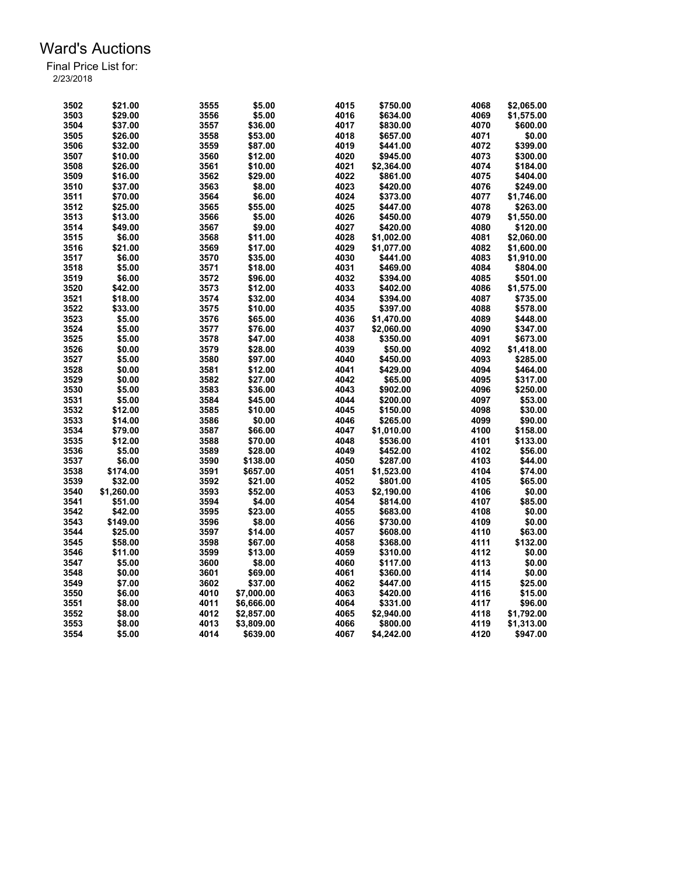| 3502 | \$21.00    | 3555 | \$5.00     | 4015 | \$750.00   | 4068 | \$2,065.00 |
|------|------------|------|------------|------|------------|------|------------|
| 3503 | \$29.00    | 3556 | \$5.00     | 4016 | \$634.00   | 4069 | \$1,575.00 |
| 3504 | \$37.00    | 3557 | \$36.00    | 4017 | \$830.00   | 4070 | \$600.00   |
| 3505 | \$26.00    | 3558 | \$53.00    | 4018 | \$657.00   | 4071 | \$0.00     |
| 3506 |            | 3559 |            | 4019 |            |      |            |
|      | \$32.00    |      | \$87.00    |      | \$441.00   | 4072 | \$399.00   |
| 3507 | \$10.00    | 3560 | \$12.00    | 4020 | \$945.00   | 4073 | \$300.00   |
| 3508 | \$26.00    | 3561 | \$10.00    | 4021 | \$2,364.00 | 4074 | \$184.00   |
| 3509 | \$16.00    | 3562 | \$29.00    | 4022 | \$861.00   | 4075 | \$404.00   |
| 3510 | \$37.00    | 3563 | \$8.00     | 4023 | \$420.00   | 4076 | \$249.00   |
| 3511 | \$70.00    | 3564 | \$6.00     | 4024 | \$373.00   | 4077 | \$1,746.00 |
| 3512 | \$25.00    | 3565 | \$55.00    | 4025 | \$447.00   | 4078 | \$263.00   |
| 3513 | \$13.00    | 3566 | \$5.00     | 4026 | \$450.00   | 4079 | \$1,550.00 |
| 3514 | \$49.00    | 3567 | \$9.00     | 4027 | \$420.00   | 4080 | \$120.00   |
| 3515 | \$6.00     | 3568 | \$11.00    | 4028 | \$1,002.00 | 4081 | \$2,060.00 |
| 3516 | \$21.00    | 3569 | \$17.00    | 4029 | \$1,077.00 | 4082 | \$1,600.00 |
| 3517 | \$6.00     | 3570 | \$35.00    | 4030 | \$441.00   | 4083 | \$1,910.00 |
| 3518 | \$5.00     | 3571 | \$18.00    | 4031 | \$469.00   | 4084 | \$804.00   |
| 3519 | \$6.00     | 3572 | \$96.00    | 4032 | \$394.00   | 4085 | \$501.00   |
| 3520 | \$42.00    | 3573 | \$12.00    | 4033 | \$402.00   | 4086 | \$1,575.00 |
| 3521 | \$18.00    | 3574 | \$32.00    | 4034 | \$394.00   | 4087 | \$735.00   |
| 3522 | \$33.00    | 3575 | \$10.00    | 4035 | \$397.00   | 4088 | \$578.00   |
| 3523 | \$5.00     | 3576 | \$65.00    | 4036 | \$1,470.00 | 4089 | \$448.00   |
| 3524 | \$5.00     | 3577 | \$76.00    | 4037 | \$2,060.00 | 4090 | \$347.00   |
| 3525 | \$5.00     | 3578 | \$47.00    | 4038 | \$350.00   | 4091 | \$673.00   |
| 3526 | \$0.00     | 3579 | \$28.00    | 4039 | \$50.00    | 4092 | \$1,418.00 |
| 3527 | \$5.00     | 3580 | \$97.00    | 4040 | \$450.00   | 4093 | \$285.00   |
|      |            |      |            |      |            |      |            |
| 3528 | \$0.00     | 3581 | \$12.00    | 4041 | \$429.00   | 4094 | \$464.00   |
| 3529 | \$0.00     | 3582 | \$27.00    | 4042 | \$65.00    | 4095 | \$317.00   |
| 3530 | \$5.00     | 3583 | \$36.00    | 4043 | \$902.00   | 4096 | \$250.00   |
| 3531 | \$5.00     | 3584 | \$45.00    | 4044 | \$200.00   | 4097 | \$53.00    |
| 3532 | \$12.00    | 3585 | \$10.00    | 4045 | \$150.00   | 4098 | \$30.00    |
| 3533 | \$14.00    | 3586 | \$0.00     | 4046 | \$265.00   | 4099 | \$90.00    |
| 3534 | \$79.00    | 3587 | \$66.00    | 4047 | \$1,010.00 | 4100 | \$158.00   |
| 3535 | \$12.00    | 3588 | \$70.00    | 4048 | \$536.00   | 4101 | \$133.00   |
| 3536 | \$5.00     | 3589 | \$28.00    | 4049 | \$452.00   | 4102 | \$56.00    |
| 3537 | \$6.00     | 3590 | \$138.00   | 4050 | \$287.00   | 4103 | \$44.00    |
| 3538 | \$174.00   | 3591 | \$657.00   | 4051 | \$1,523.00 | 4104 | \$74.00    |
| 3539 | \$32.00    | 3592 | \$21.00    | 4052 | \$801.00   | 4105 | \$65.00    |
| 3540 | \$1,260.00 | 3593 | \$52.00    | 4053 | \$2,190.00 | 4106 | \$0.00     |
| 3541 | \$51.00    | 3594 | \$4.00     | 4054 | \$814.00   | 4107 | \$85.00    |
| 3542 | \$42.00    | 3595 | \$23.00    | 4055 | \$683.00   | 4108 | \$0.00     |
| 3543 | \$149.00   | 3596 | \$8.00     | 4056 | \$730.00   | 4109 | \$0.00     |
| 3544 | \$25.00    | 3597 | \$14.00    | 4057 | \$608.00   | 4110 | \$63.00    |
| 3545 | \$58.00    | 3598 | \$67.00    | 4058 | \$368.00   | 4111 | \$132.00   |
| 3546 | \$11.00    | 3599 | \$13.00    | 4059 | \$310.00   | 4112 | \$0.00     |
| 3547 | \$5.00     | 3600 | \$8.00     | 4060 | \$117.00   | 4113 | \$0.00     |
| 3548 | \$0.00     | 3601 | \$69.00    | 4061 | \$360.00   | 4114 | \$0.00     |
| 3549 | \$7.00     | 3602 | \$37.00    | 4062 | \$447.00   | 4115 | \$25.00    |
| 3550 | \$6.00     | 4010 | \$7,000.00 | 4063 | \$420.00   | 4116 | \$15.00    |
| 3551 | \$8.00     | 4011 |            | 4064 |            |      |            |
|      |            |      | \$6,666.00 |      | \$331.00   | 4117 | \$96.00    |
| 3552 | \$8.00     | 4012 | \$2,857.00 | 4065 | \$2,940.00 | 4118 | \$1,792.00 |
| 3553 | \$8.00     | 4013 | \$3,809.00 | 4066 | \$800.00   | 4119 | \$1,313.00 |
| 3554 | \$5.00     | 4014 | \$639.00   | 4067 | \$4,242.00 | 4120 | \$947.00   |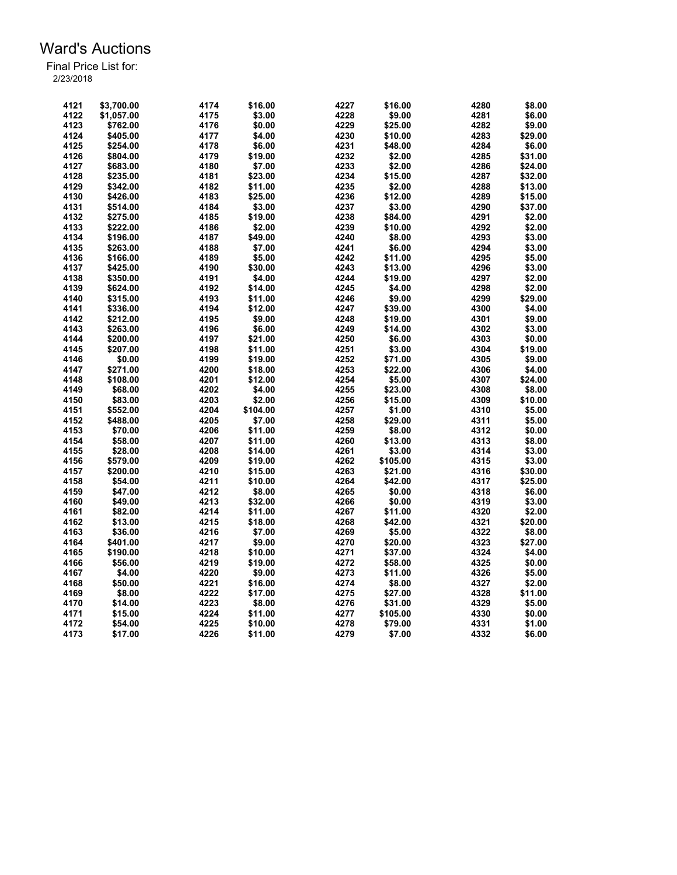| 4121 | \$3,700.00 | 4174 | \$16.00  | 4227 | \$16.00           | 4280 | \$8.00  |
|------|------------|------|----------|------|-------------------|------|---------|
| 4122 | \$1,057.00 | 4175 | \$3.00   | 4228 | \$9.00            | 4281 | \$6.00  |
| 4123 | \$762.00   | 4176 | \$0.00   | 4229 | \$25.00           | 4282 | \$9.00  |
| 4124 | \$405.00   | 4177 | \$4.00   | 4230 | \$10.00           | 4283 | \$29.00 |
| 4125 | \$254.00   | 4178 | \$6.00   | 4231 | \$48.00           | 4284 | \$6.00  |
| 4126 | \$804.00   | 4179 | \$19.00  | 4232 | \$2.00            | 4285 | \$31.00 |
| 4127 | \$683.00   | 4180 | \$7.00   | 4233 | \$2.00            | 4286 | \$24.00 |
| 4128 | \$235.00   | 4181 | \$23.00  | 4234 | \$15.00           | 4287 | \$32.00 |
| 4129 | \$342.00   | 4182 | \$11.00  | 4235 | \$2.00            | 4288 | \$13.00 |
| 4130 | \$426.00   | 4183 | \$25.00  | 4236 | \$12.00           | 4289 | \$15.00 |
| 4131 | \$514.00   | 4184 | \$3.00   | 4237 | \$3.00            | 4290 | \$37.00 |
| 4132 | \$275.00   | 4185 | \$19.00  | 4238 | \$84.00           | 4291 | \$2.00  |
| 4133 | \$222.00   | 4186 | \$2.00   | 4239 | \$10.00           | 4292 | \$2.00  |
| 4134 |            | 4187 | \$49.00  | 4240 | \$8.00            | 4293 | \$3.00  |
| 4135 | \$196.00   |      |          | 4241 |                   | 4294 |         |
|      | \$263.00   | 4188 | \$7.00   |      | \$6.00            |      | \$3.00  |
| 4136 | \$166.00   | 4189 | \$5.00   | 4242 | \$11.00           | 4295 | \$5.00  |
| 4137 | \$425.00   | 4190 | \$30.00  | 4243 | \$13.00           | 4296 | \$3.00  |
| 4138 | \$350.00   | 4191 | \$4.00   | 4244 | \$19.00           | 4297 | \$2.00  |
| 4139 | \$624.00   | 4192 | \$14.00  | 4245 | \$4.00            | 4298 | \$2.00  |
| 4140 | \$315.00   | 4193 | \$11.00  | 4246 | \$9.00            | 4299 | \$29.00 |
| 4141 | \$336.00   | 4194 | \$12.00  | 4247 | \$39.00           | 4300 | \$4.00  |
| 4142 | \$212.00   | 4195 | \$9.00   | 4248 | \$19.00           | 4301 | \$9.00  |
| 4143 | \$263.00   | 4196 | \$6.00   | 4249 | \$14.00           | 4302 | \$3.00  |
| 4144 | \$200.00   | 4197 | \$21.00  | 4250 | \$6.00            | 4303 | \$0.00  |
| 4145 | \$207.00   | 4198 | \$11.00  | 4251 | \$3.00            | 4304 | \$19.00 |
| 4146 | \$0.00     | 4199 | \$19.00  | 4252 | \$71.00           | 4305 | \$9.00  |
| 4147 | \$271.00   | 4200 | \$18.00  | 4253 | \$22.00           | 4306 | \$4.00  |
| 4148 | \$108.00   | 4201 | \$12.00  | 4254 | \$5.00            | 4307 | \$24.00 |
| 4149 | \$68.00    | 4202 | \$4.00   | 4255 | \$23.00           | 4308 | \$8.00  |
| 4150 | \$83.00    | 4203 | \$2.00   | 4256 | \$15.00           | 4309 | \$10.00 |
| 4151 | \$552.00   | 4204 | \$104.00 | 4257 | \$1.00            | 4310 | \$5.00  |
| 4152 | \$488.00   | 4205 | \$7.00   | 4258 | \$29.00           | 4311 | \$5.00  |
| 4153 | \$70.00    | 4206 | \$11.00  | 4259 | \$8.00            | 4312 | \$0.00  |
| 4154 | \$58.00    | 4207 | \$11.00  | 4260 | \$13.00           | 4313 | \$8.00  |
| 4155 | \$28.00    | 4208 | \$14.00  | 4261 | \$3.00            | 4314 | \$3.00  |
| 4156 | \$579.00   | 4209 | \$19.00  | 4262 | \$105.00          | 4315 | \$3.00  |
| 4157 | \$200.00   | 4210 | \$15.00  | 4263 | \$21.00           | 4316 | \$30.00 |
| 4158 | \$54.00    | 4211 | \$10.00  | 4264 | \$42.00           | 4317 | \$25.00 |
| 4159 | \$47.00    | 4212 | \$8.00   | 4265 | \$0.00            | 4318 | \$6.00  |
| 4160 | \$49.00    | 4213 | \$32.00  | 4266 | \$0.00            | 4319 | \$3.00  |
| 4161 | \$82.00    | 4214 | \$11.00  | 4267 | \$11.00           | 4320 | \$2.00  |
| 4162 | \$13.00    | 4215 | \$18.00  | 4268 | \$42.00           | 4321 | \$20.00 |
| 4163 | \$36.00    | 4216 | \$7.00   | 4269 | \$5.00            | 4322 | \$8.00  |
| 4164 | \$401.00   | 4217 | \$9.00   | 4270 | \$20.00           | 4323 | \$27.00 |
| 4165 | \$190.00   | 4218 | \$10.00  | 4271 | \$37.00           | 4324 | \$4.00  |
| 4166 | \$56.00    | 4219 | \$19.00  | 4272 | \$58.00           | 4325 | \$0.00  |
| 4167 | \$4.00     | 4220 | \$9.00   | 4273 |                   | 4326 | \$5.00  |
| 4168 | \$50.00    | 4221 | \$16.00  | 4274 | \$11.00<br>\$8.00 | 4327 | \$2.00  |
|      |            |      |          |      |                   |      |         |
| 4169 | \$8.00     | 4222 | \$17.00  | 4275 | \$27.00           | 4328 | \$11.00 |
| 4170 | \$14.00    | 4223 | \$8.00   | 4276 | \$31.00           | 4329 | \$5.00  |
| 4171 | \$15.00    | 4224 | \$11.00  | 4277 | \$105.00          | 4330 | \$0.00  |
| 4172 | \$54.00    | 4225 | \$10.00  | 4278 | \$79.00           | 4331 | \$1.00  |
| 4173 | \$17.00    | 4226 | \$11.00  | 4279 | \$7.00            | 4332 | \$6.00  |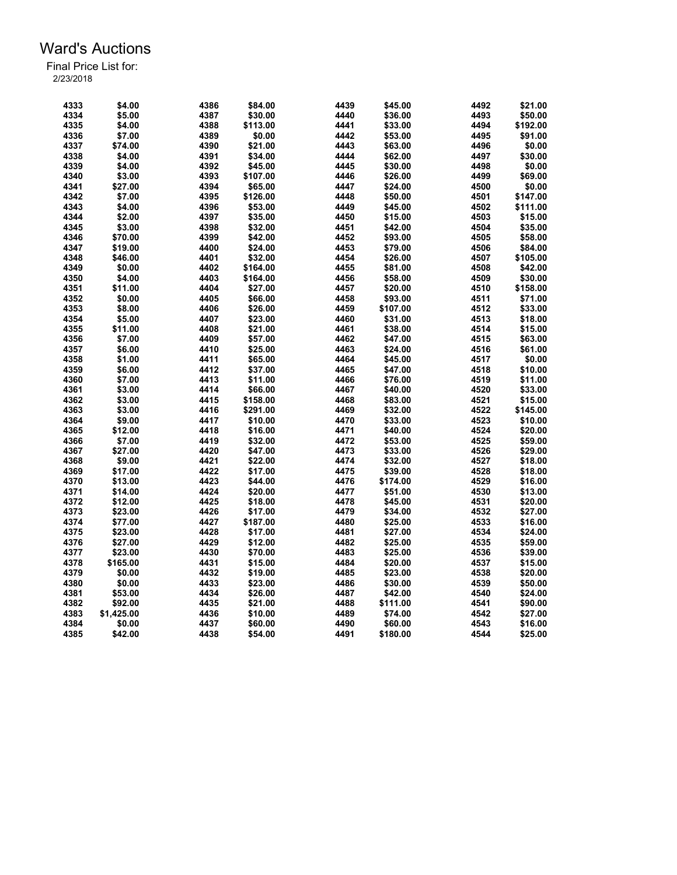| 4333 | \$4.00     | 4386 | \$84.00  | 4439 | \$45.00  | 4492 | \$21.00  |
|------|------------|------|----------|------|----------|------|----------|
| 4334 | \$5.00     | 4387 | \$30.00  | 4440 | \$36.00  | 4493 | \$50.00  |
| 4335 | \$4.00     | 4388 | \$113.00 | 4441 | \$33.00  | 4494 | \$192.00 |
| 4336 | \$7.00     | 4389 | \$0.00   | 4442 | \$53.00  | 4495 | \$91.00  |
| 4337 | \$74.00    | 4390 | \$21.00  | 4443 | \$63.00  | 4496 | \$0.00   |
| 4338 | \$4.00     | 4391 | \$34.00  | 4444 | \$62.00  | 4497 | \$30.00  |
| 4339 | \$4.00     | 4392 | \$45.00  | 4445 | \$30.00  | 4498 | \$0.00   |
|      |            |      |          |      |          |      |          |
| 4340 | \$3.00     | 4393 | \$107.00 | 4446 | \$26.00  | 4499 | \$69.00  |
| 4341 | \$27.00    | 4394 | \$65.00  | 4447 | \$24.00  | 4500 | \$0.00   |
| 4342 | \$7.00     | 4395 | \$126.00 | 4448 | \$50.00  | 4501 | \$147.00 |
| 4343 | \$4.00     | 4396 | \$53.00  | 4449 | \$45.00  | 4502 | \$111.00 |
| 4344 | \$2.00     | 4397 | \$35.00  | 4450 | \$15.00  | 4503 | \$15.00  |
| 4345 | \$3.00     | 4398 | \$32.00  | 4451 | \$42.00  | 4504 | \$35.00  |
| 4346 | \$70.00    | 4399 | \$42.00  | 4452 | \$93.00  | 4505 | \$58.00  |
| 4347 | \$19.00    | 4400 | \$24.00  | 4453 | \$79.00  | 4506 | \$84.00  |
| 4348 | \$46.00    | 4401 | \$32.00  | 4454 | \$26.00  | 4507 | \$105.00 |
| 4349 | \$0.00     | 4402 | \$164.00 | 4455 | \$81.00  | 4508 | \$42.00  |
| 4350 | \$4.00     | 4403 | \$164.00 | 4456 | \$58.00  | 4509 | \$30.00  |
| 4351 | \$11.00    | 4404 | \$27.00  | 4457 | \$20.00  | 4510 | \$158.00 |
| 4352 | \$0.00     | 4405 | \$66.00  | 4458 | \$93.00  | 4511 | \$71.00  |
| 4353 | \$8.00     | 4406 | \$26.00  | 4459 | \$107.00 | 4512 | \$33.00  |
| 4354 | \$5.00     | 4407 | \$23.00  | 4460 | \$31.00  | 4513 | \$18.00  |
| 4355 | \$11.00    | 4408 | \$21.00  | 4461 | \$38.00  | 4514 | \$15.00  |
| 4356 | \$7.00     | 4409 | \$57.00  | 4462 | \$47.00  | 4515 | \$63.00  |
| 4357 | \$6.00     | 4410 | \$25.00  | 4463 | \$24.00  | 4516 | \$61.00  |
| 4358 | \$1.00     | 4411 | \$65.00  | 4464 | \$45.00  | 4517 | \$0.00   |
| 4359 | \$6.00     | 4412 | \$37.00  | 4465 | \$47.00  | 4518 | \$10.00  |
| 4360 | \$7.00     | 4413 | \$11.00  | 4466 | \$76.00  | 4519 | \$11.00  |
| 4361 | \$3.00     | 4414 | \$66.00  | 4467 | \$40.00  | 4520 | \$33.00  |
| 4362 | \$3.00     | 4415 | \$158.00 | 4468 | \$83.00  | 4521 | \$15.00  |
| 4363 | \$3.00     | 4416 | \$291.00 | 4469 | \$32.00  | 4522 | \$145.00 |
| 4364 |            |      |          |      |          | 4523 | \$10.00  |
|      | \$9.00     | 4417 | \$10.00  | 4470 | \$33.00  |      |          |
| 4365 | \$12.00    | 4418 | \$16.00  | 4471 | \$40.00  | 4524 | \$20.00  |
| 4366 | \$7.00     | 4419 | \$32.00  | 4472 | \$53.00  | 4525 | \$59.00  |
| 4367 | \$27.00    | 4420 | \$47.00  | 4473 | \$33.00  | 4526 | \$29.00  |
| 4368 | \$9.00     | 4421 | \$22.00  | 4474 | \$32.00  | 4527 | \$18.00  |
| 4369 | \$17.00    | 4422 | \$17.00  | 4475 | \$39.00  | 4528 | \$18.00  |
| 4370 | \$13.00    | 4423 | \$44.00  | 4476 | \$174.00 | 4529 | \$16.00  |
| 4371 | \$14.00    | 4424 | \$20.00  | 4477 | \$51.00  | 4530 | \$13.00  |
| 4372 | \$12.00    | 4425 | \$18.00  | 4478 | \$45.00  | 4531 | \$20.00  |
| 4373 | \$23.00    | 4426 | \$17.00  | 4479 | \$34.00  | 4532 | \$27.00  |
| 4374 | \$77.00    | 4427 | \$187.00 | 4480 | \$25.00  | 4533 | \$16.00  |
| 4375 | \$23.00    | 4428 | \$17.00  | 4481 | \$27.00  | 4534 | \$24.00  |
| 4376 | \$27.00    | 4429 | \$12.00  | 4482 | \$25.00  | 4535 | \$59.00  |
| 4377 | \$23.00    | 4430 | \$70.00  | 4483 | \$25.00  | 4536 | \$39.00  |
| 4378 | \$165.00   | 4431 | \$15.00  | 4484 | \$20.00  | 4537 | \$15.00  |
| 4379 | \$0.00     | 4432 | \$19.00  | 4485 | \$23.00  | 4538 | \$20.00  |
| 4380 | \$0.00     | 4433 | \$23.00  | 4486 | \$30.00  | 4539 | \$50.00  |
| 4381 | \$53.00    | 4434 | \$26.00  | 4487 | \$42.00  | 4540 | \$24.00  |
| 4382 | \$92.00    | 4435 | \$21.00  | 4488 | \$111.00 | 4541 | \$90.00  |
| 4383 | \$1,425.00 | 4436 | \$10.00  | 4489 | \$74.00  | 4542 | \$27.00  |
| 4384 | \$0.00     | 4437 | \$60.00  | 4490 | \$60.00  | 4543 | \$16.00  |
| 4385 | \$42.00    | 4438 | \$54.00  | 4491 | \$180.00 | 4544 | \$25.00  |
|      |            |      |          |      |          |      |          |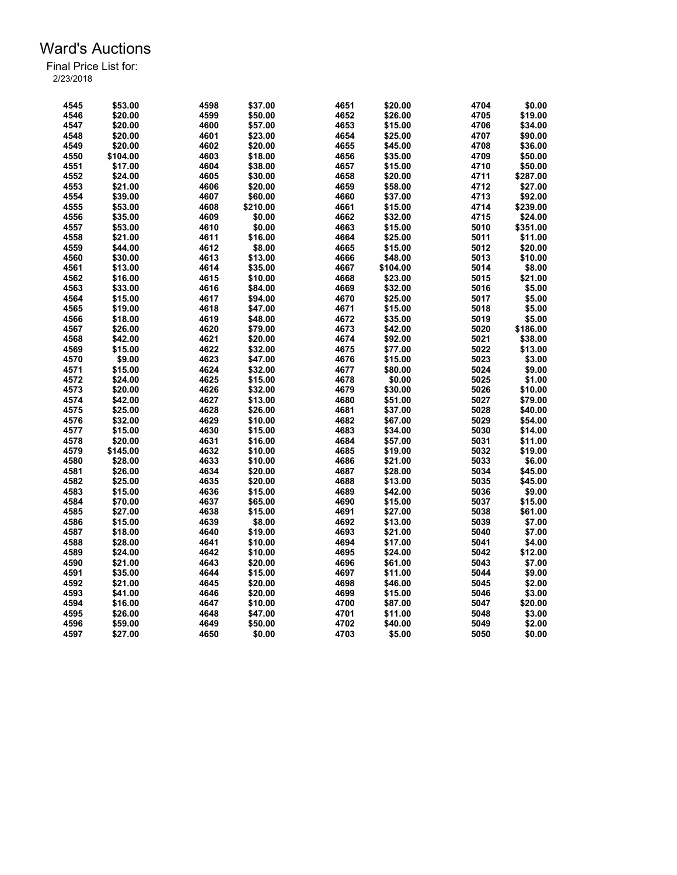| 4545 | \$53.00  | 4598 | \$37.00  | 4651 | \$20.00  | 4704 | \$0.00   |
|------|----------|------|----------|------|----------|------|----------|
| 4546 | \$20.00  | 4599 | \$50.00  | 4652 | \$26.00  | 4705 | \$19.00  |
| 4547 | \$20.00  | 4600 | \$57.00  | 4653 | \$15.00  | 4706 | \$34.00  |
| 4548 | \$20.00  | 4601 | \$23.00  | 4654 | \$25.00  | 4707 | \$90.00  |
| 4549 | \$20.00  | 4602 | \$20.00  | 4655 | \$45.00  | 4708 | \$36.00  |
| 4550 | \$104.00 | 4603 | \$18.00  | 4656 | \$35.00  | 4709 | \$50.00  |
| 4551 | \$17.00  | 4604 | \$38.00  | 4657 | \$15.00  | 4710 | \$50.00  |
| 4552 | \$24.00  | 4605 | \$30.00  | 4658 | \$20.00  | 4711 | \$287.00 |
| 4553 | \$21.00  | 4606 | \$20.00  | 4659 | \$58.00  | 4712 | \$27.00  |
| 4554 | \$39.00  | 4607 | \$60.00  | 4660 | \$37.00  | 4713 | \$92.00  |
| 4555 | \$53.00  | 4608 | \$210.00 | 4661 | \$15.00  | 4714 | \$239.00 |
| 4556 | \$35.00  | 4609 | \$0.00   | 4662 | \$32.00  | 4715 | \$24.00  |
| 4557 | \$53.00  | 4610 | \$0.00   | 4663 | \$15.00  | 5010 | \$351.00 |
| 4558 | \$21.00  | 4611 | \$16.00  | 4664 | \$25.00  | 5011 | \$11.00  |
| 4559 | \$44.00  | 4612 | \$8.00   | 4665 | \$15.00  | 5012 | \$20.00  |
| 4560 | \$30.00  | 4613 | \$13.00  | 4666 | \$48.00  | 5013 | \$10.00  |
| 4561 | \$13.00  | 4614 | \$35.00  | 4667 | \$104.00 | 5014 | \$8.00   |
| 4562 | \$16.00  | 4615 | \$10.00  | 4668 | \$23.00  | 5015 | \$21.00  |
| 4563 | \$33.00  | 4616 | \$84.00  | 4669 | \$32.00  | 5016 | \$5.00   |
| 4564 | \$15.00  | 4617 | \$94.00  | 4670 | \$25.00  | 5017 | \$5.00   |
| 4565 | \$19.00  | 4618 | \$47.00  | 4671 | \$15.00  | 5018 | \$5.00   |
| 4566 | \$18.00  | 4619 | \$48.00  | 4672 | \$35.00  | 5019 | \$5.00   |
| 4567 | \$26.00  | 4620 | \$79.00  | 4673 | \$42.00  | 5020 | \$186.00 |
| 4568 | \$42.00  |      |          | 4674 |          | 5021 | \$38.00  |
|      |          | 4621 | \$20.00  |      | \$92.00  |      |          |
| 4569 | \$15.00  | 4622 | \$32.00  | 4675 | \$77.00  | 5022 | \$13.00  |
| 4570 | \$9.00   | 4623 | \$47.00  | 4676 | \$15.00  | 5023 | \$3.00   |
| 4571 | \$15.00  | 4624 | \$32.00  | 4677 | \$80.00  | 5024 | \$9.00   |
| 4572 | \$24.00  | 4625 | \$15.00  | 4678 | \$0.00   | 5025 | \$1.00   |
| 4573 | \$20.00  | 4626 | \$32.00  | 4679 | \$30.00  | 5026 | \$10.00  |
| 4574 | \$42.00  | 4627 | \$13.00  | 4680 | \$51.00  | 5027 | \$79.00  |
| 4575 | \$25.00  | 4628 | \$26.00  | 4681 | \$37.00  | 5028 | \$40.00  |
| 4576 | \$32.00  | 4629 | \$10.00  | 4682 | \$67.00  | 5029 | \$54.00  |
| 4577 | \$15.00  | 4630 | \$15.00  | 4683 | \$34.00  | 5030 | \$14.00  |
| 4578 | \$20.00  | 4631 | \$16.00  | 4684 | \$57.00  | 5031 | \$11.00  |
| 4579 | \$145.00 | 4632 | \$10.00  | 4685 | \$19.00  | 5032 | \$19.00  |
| 4580 | \$28.00  | 4633 | \$10.00  | 4686 | \$21.00  | 5033 | \$6.00   |
| 4581 | \$26.00  | 4634 | \$20.00  | 4687 | \$28.00  | 5034 | \$45.00  |
| 4582 | \$25.00  | 4635 | \$20.00  | 4688 | \$13.00  | 5035 | \$45.00  |
| 4583 | \$15.00  | 4636 | \$15.00  | 4689 | \$42.00  | 5036 | \$9.00   |
| 4584 | \$70.00  | 4637 | \$65.00  | 4690 | \$15.00  | 5037 | \$15.00  |
| 4585 | \$27.00  | 4638 | \$15.00  | 4691 | \$27.00  | 5038 | \$61.00  |
| 4586 | \$15.00  | 4639 | \$8.00   | 4692 | \$13.00  | 5039 | \$7.00   |
| 4587 | \$18.00  | 4640 | \$19.00  | 4693 | \$21.00  | 5040 | \$7.00   |
| 4588 | \$28.00  | 4641 | \$10.00  | 4694 | \$17.00  | 5041 | \$4.00   |
| 4589 | \$24.00  | 4642 | \$10.00  | 4695 | \$24.00  | 5042 | \$12.00  |
| 4590 | \$21.00  | 4643 | \$20.00  | 4696 | \$61.00  | 5043 | \$7.00   |
| 4591 | \$35.00  | 4644 | \$15.00  | 4697 | \$11.00  | 5044 | \$9.00   |
| 4592 | \$21.00  | 4645 | \$20.00  | 4698 | \$46.00  | 5045 | \$2.00   |
| 4593 | \$41.00  | 4646 | \$20.00  | 4699 | \$15.00  | 5046 | \$3.00   |
| 4594 | \$16.00  | 4647 | \$10.00  | 4700 | \$87.00  | 5047 | \$20.00  |
| 4595 | \$26.00  | 4648 | \$47.00  | 4701 | \$11.00  | 5048 | \$3.00   |
| 4596 | \$59.00  | 4649 | \$50.00  | 4702 | \$40.00  | 5049 | \$2.00   |
| 4597 | \$27.00  | 4650 | \$0.00   | 4703 | \$5.00   | 5050 | \$0.00   |
|      |          |      |          |      |          |      |          |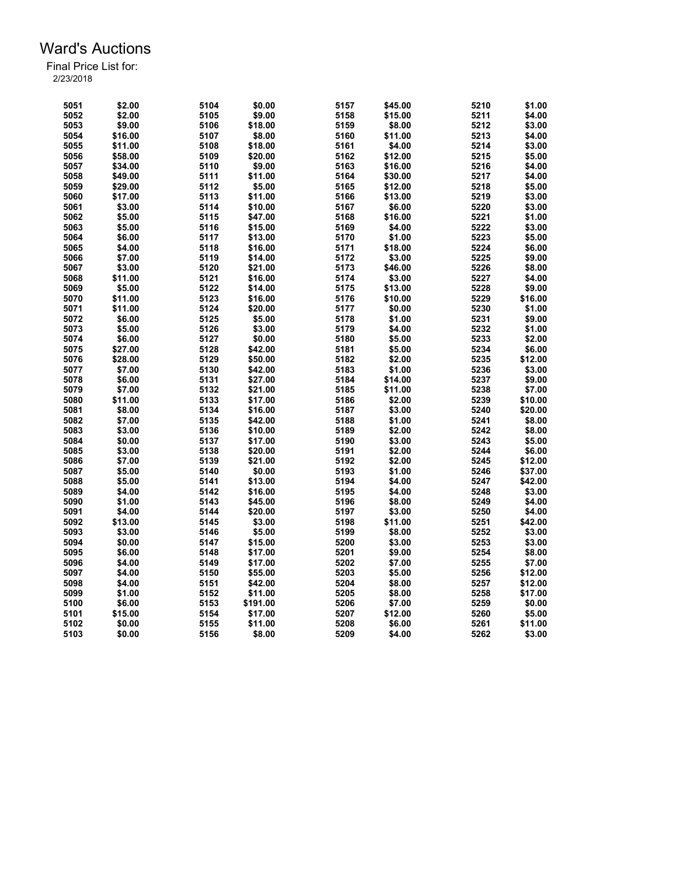| 5051 | \$2.00  | 5104 | \$0.00   | 5157 | \$45.00 | 5210 | \$1.00  |
|------|---------|------|----------|------|---------|------|---------|
| 5052 | \$2.00  | 5105 | \$9.00   | 5158 | \$15.00 | 5211 | \$4.00  |
| 5053 | \$9.00  | 5106 | \$18.00  | 5159 | \$8.00  | 5212 | \$3.00  |
| 5054 | \$16.00 | 5107 | \$8.00   | 5160 | \$11.00 | 5213 | \$4.00  |
| 5055 | \$11.00 | 5108 | \$18.00  | 5161 | \$4.00  | 5214 | \$3.00  |
| 5056 | \$58.00 | 5109 | \$20.00  | 5162 | \$12.00 | 5215 | \$5.00  |
| 5057 | \$34.00 | 5110 | \$9.00   | 5163 | \$16.00 | 5216 | \$4.00  |
| 5058 | \$49.00 | 5111 | \$11.00  | 5164 | \$30.00 | 5217 | \$4.00  |
| 5059 | \$29.00 | 5112 | \$5.00   | 5165 | \$12.00 | 5218 | \$5.00  |
| 5060 | \$17.00 | 5113 | \$11.00  | 5166 | \$13.00 | 5219 | \$3.00  |
| 5061 | \$3.00  | 5114 | \$10.00  | 5167 | \$6.00  | 5220 | \$3.00  |
| 5062 | \$5.00  | 5115 | \$47.00  | 5168 | \$16.00 | 5221 | \$1.00  |
| 5063 | \$5.00  | 5116 | \$15.00  | 5169 | \$4.00  | 5222 | \$3.00  |
| 5064 | \$6.00  | 5117 | \$13.00  | 5170 | \$1.00  | 5223 | \$5.00  |
| 5065 | \$4.00  | 5118 | \$16.00  | 5171 | \$18.00 | 5224 | \$6.00  |
| 5066 | \$7.00  | 5119 | \$14.00  | 5172 | \$3.00  | 5225 | \$9.00  |
| 5067 | \$3.00  | 5120 | \$21.00  | 5173 | \$46.00 | 5226 | \$8.00  |
|      |         |      |          |      |         |      |         |
| 5068 | \$11.00 | 5121 | \$16.00  | 5174 | \$3.00  | 5227 | \$4.00  |
| 5069 | \$5.00  | 5122 | \$14.00  | 5175 | \$13.00 | 5228 | \$9.00  |
| 5070 | \$11.00 | 5123 | \$16.00  | 5176 | \$10.00 | 5229 | \$16.00 |
| 5071 | \$11.00 | 5124 | \$20.00  | 5177 | \$0.00  | 5230 | \$1.00  |
| 5072 | \$6.00  | 5125 | \$5.00   | 5178 | \$1.00  | 5231 | \$9.00  |
| 5073 | \$5.00  | 5126 | \$3.00   | 5179 | \$4.00  | 5232 | \$1.00  |
| 5074 | \$6.00  | 5127 | \$0.00   | 5180 | \$5.00  | 5233 | \$2.00  |
| 5075 | \$27.00 | 5128 | \$42.00  | 5181 | \$5.00  | 5234 | \$6.00  |
| 5076 | \$28.00 | 5129 | \$50.00  | 5182 | \$2.00  | 5235 | \$12.00 |
| 5077 | \$7.00  | 5130 | \$42.00  | 5183 | \$1.00  | 5236 | \$3.00  |
| 5078 | \$6.00  | 5131 | \$27.00  | 5184 | \$14.00 | 5237 | \$9.00  |
| 5079 | \$7.00  | 5132 | \$21.00  | 5185 | \$11.00 | 5238 | \$7.00  |
| 5080 | \$11.00 | 5133 | \$17.00  | 5186 | \$2.00  | 5239 | \$10.00 |
| 5081 | \$8.00  | 5134 | \$16.00  | 5187 | \$3.00  | 5240 | \$20.00 |
| 5082 | \$7.00  | 5135 | \$42.00  | 5188 | \$1.00  | 5241 | \$8.00  |
| 5083 | \$3.00  | 5136 | \$10.00  | 5189 | \$2.00  | 5242 | \$8.00  |
| 5084 | \$0.00  | 5137 | \$17.00  | 5190 | \$3.00  | 5243 | \$5.00  |
| 5085 | \$3.00  | 5138 | \$20.00  | 5191 | \$2.00  | 5244 | \$6.00  |
| 5086 | \$7.00  | 5139 | \$21.00  | 5192 | \$2.00  | 5245 | \$12.00 |
| 5087 | \$5.00  | 5140 | \$0.00   | 5193 | \$1.00  | 5246 | \$37.00 |
| 5088 | \$5.00  | 5141 | \$13.00  | 5194 | \$4.00  | 5247 | \$42.00 |
| 5089 | \$4.00  | 5142 | \$16.00  | 5195 | \$4.00  | 5248 | \$3.00  |
| 5090 | \$1.00  | 5143 | \$45.00  | 5196 | \$8.00  | 5249 | \$4.00  |
| 5091 | \$4.00  | 5144 | \$20.00  | 5197 | \$3.00  | 5250 | \$4.00  |
| 5092 | \$13.00 | 5145 | \$3.00   | 5198 | \$11.00 | 5251 | \$42.00 |
| 5093 | \$3.00  | 5146 | \$5.00   | 5199 | \$8.00  | 5252 | \$3.00  |
| 5094 | \$0.00  | 5147 | \$15.00  | 5200 | \$3.00  | 5253 | \$3.00  |
| 5095 | \$6.00  | 5148 | \$17.00  | 5201 | \$9.00  | 5254 | \$8.00  |
| 5096 | \$4.00  | 5149 | \$17.00  | 5202 | \$7.00  | 5255 | \$7.00  |
| 5097 | \$4.00  | 5150 | \$55.00  | 5203 | \$5.00  | 5256 | \$12.00 |
| 5098 |         |      | \$42.00  | 5204 |         | 5257 |         |
|      | \$4.00  | 5151 |          |      | \$8.00  |      | \$12.00 |
| 5099 | \$1.00  | 5152 | \$11.00  | 5205 | \$8.00  | 5258 | \$17.00 |
| 5100 | \$6.00  | 5153 | \$191.00 | 5206 | \$7.00  | 5259 | \$0.00  |
| 5101 | \$15.00 | 5154 | \$17.00  | 5207 | \$12.00 | 5260 | \$5.00  |
| 5102 | \$0.00  | 5155 | \$11.00  | 5208 | \$6.00  | 5261 | \$11.00 |
| 5103 | \$0.00  | 5156 | \$8.00   | 5209 | \$4.00  | 5262 | \$3.00  |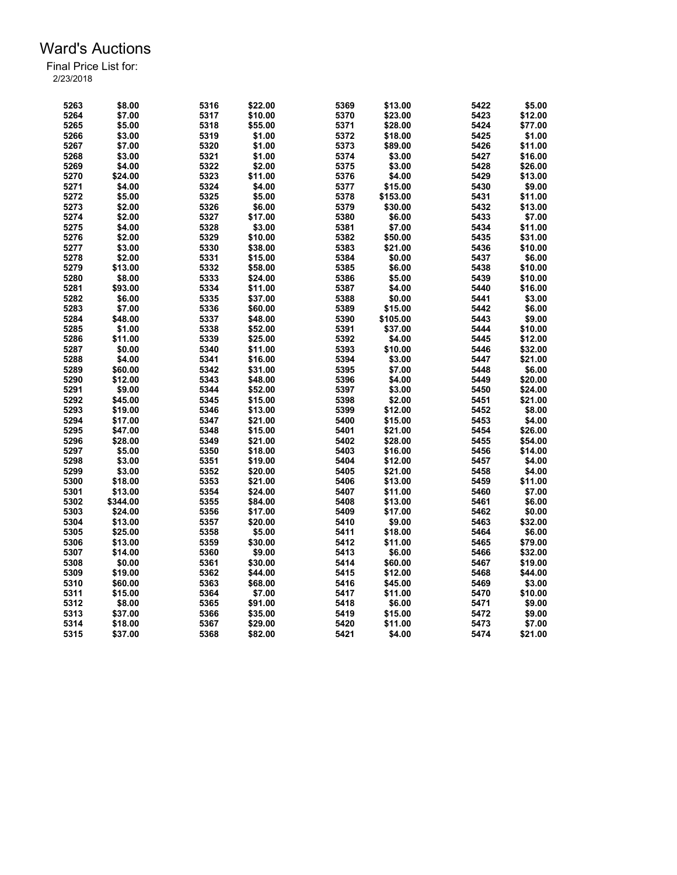| 5263 | \$8.00   | 5316 | \$22.00 | 5369 | \$13.00  | 5422 | \$5.00  |
|------|----------|------|---------|------|----------|------|---------|
| 5264 | \$7.00   | 5317 | \$10.00 | 5370 | \$23.00  | 5423 | \$12.00 |
| 5265 | \$5.00   | 5318 | \$55.00 | 5371 | \$28.00  | 5424 | \$77.00 |
| 5266 | \$3.00   | 5319 | \$1.00  | 5372 | \$18.00  | 5425 | \$1.00  |
| 5267 | \$7.00   | 5320 | \$1.00  | 5373 | \$89.00  | 5426 | \$11.00 |
| 5268 | \$3.00   | 5321 | \$1.00  | 5374 | \$3.00   | 5427 | \$16.00 |
| 5269 | \$4.00   | 5322 | \$2.00  | 5375 | \$3.00   | 5428 | \$26.00 |
| 5270 | \$24.00  | 5323 | \$11.00 | 5376 | \$4.00   | 5429 | \$13.00 |
| 5271 | \$4.00   | 5324 | \$4.00  | 5377 | \$15.00  | 5430 | \$9.00  |
| 5272 | \$5.00   | 5325 | \$5.00  | 5378 | \$153.00 | 5431 | \$11.00 |
| 5273 | \$2.00   | 5326 | \$6.00  | 5379 | \$30.00  | 5432 | \$13.00 |
| 5274 | \$2.00   | 5327 | \$17.00 | 5380 | \$6.00   | 5433 | \$7.00  |
| 5275 | \$4.00   | 5328 | \$3.00  | 5381 | \$7.00   | 5434 | \$11.00 |
| 5276 | \$2.00   | 5329 | \$10.00 | 5382 | \$50.00  | 5435 | \$31.00 |
| 5277 | \$3.00   | 5330 | \$38.00 | 5383 | \$21.00  | 5436 | \$10.00 |
|      | \$2.00   | 5331 |         | 5384 |          | 5437 |         |
| 5278 |          |      | \$15.00 |      | \$0.00   |      | \$6.00  |
| 5279 | \$13.00  | 5332 | \$58.00 | 5385 | \$6.00   | 5438 | \$10.00 |
| 5280 | \$8.00   | 5333 | \$24.00 | 5386 | \$5.00   | 5439 | \$10.00 |
| 5281 | \$93.00  | 5334 | \$11.00 | 5387 | \$4.00   | 5440 | \$16.00 |
| 5282 | \$6.00   | 5335 | \$37.00 | 5388 | \$0.00   | 5441 | \$3.00  |
| 5283 | \$7.00   | 5336 | \$60.00 | 5389 | \$15.00  | 5442 | \$6.00  |
| 5284 | \$48.00  | 5337 | \$48.00 | 5390 | \$105.00 | 5443 | \$9.00  |
| 5285 | \$1.00   | 5338 | \$52.00 | 5391 | \$37.00  | 5444 | \$10.00 |
| 5286 | \$11.00  | 5339 | \$25.00 | 5392 | \$4.00   | 5445 | \$12.00 |
| 5287 | \$0.00   | 5340 | \$11.00 | 5393 | \$10.00  | 5446 | \$32.00 |
| 5288 | \$4.00   | 5341 | \$16.00 | 5394 | \$3.00   | 5447 | \$21.00 |
| 5289 | \$60.00  | 5342 | \$31.00 | 5395 | \$7.00   | 5448 | \$6.00  |
| 5290 | \$12.00  | 5343 | \$48.00 | 5396 | \$4.00   | 5449 | \$20.00 |
| 5291 | \$9.00   | 5344 | \$52.00 | 5397 | \$3.00   | 5450 | \$24.00 |
| 5292 | \$45.00  | 5345 | \$15.00 | 5398 | \$2.00   | 5451 | \$21.00 |
| 5293 | \$19.00  | 5346 | \$13.00 | 5399 | \$12.00  | 5452 | \$8.00  |
| 5294 | \$17.00  | 5347 | \$21.00 | 5400 | \$15.00  | 5453 | \$4.00  |
| 5295 | \$47.00  | 5348 | \$15.00 | 5401 | \$21.00  | 5454 | \$26.00 |
| 5296 | \$28.00  | 5349 | \$21.00 | 5402 | \$28.00  | 5455 | \$54.00 |
| 5297 | \$5.00   | 5350 | \$18.00 | 5403 | \$16.00  | 5456 | \$14.00 |
| 5298 | \$3.00   | 5351 | \$19.00 | 5404 | \$12.00  | 5457 | \$4.00  |
| 5299 | \$3.00   | 5352 | \$20.00 | 5405 | \$21.00  | 5458 | \$4.00  |
| 5300 | \$18.00  | 5353 | \$21.00 | 5406 | \$13.00  | 5459 | \$11.00 |
| 5301 | \$13.00  | 5354 | \$24.00 | 5407 | \$11.00  | 5460 | \$7.00  |
| 5302 | \$344.00 | 5355 | \$84.00 | 5408 | \$13.00  | 5461 | \$6.00  |
| 5303 | \$24.00  | 5356 | \$17.00 | 5409 | \$17.00  | 5462 | \$0.00  |
| 5304 | \$13.00  | 5357 | \$20.00 | 5410 | \$9.00   | 5463 | \$32.00 |
| 5305 | \$25.00  | 5358 | \$5.00  | 5411 | \$18.00  | 5464 | \$6.00  |
| 5306 | \$13.00  | 5359 | \$30.00 | 5412 | \$11.00  | 5465 | \$79.00 |
| 5307 | \$14.00  | 5360 | \$9.00  | 5413 | \$6.00   | 5466 | \$32.00 |
| 5308 | \$0.00   | 5361 | \$30.00 | 5414 | \$60.00  | 5467 | \$19.00 |
| 5309 | \$19.00  | 5362 | \$44.00 | 5415 | \$12.00  | 5468 | \$44.00 |
|      |          |      |         |      |          |      |         |
| 5310 | \$60.00  | 5363 | \$68.00 | 5416 | \$45.00  | 5469 | \$3.00  |
| 5311 | \$15.00  | 5364 | \$7.00  | 5417 | \$11.00  | 5470 | \$10.00 |
| 5312 | \$8.00   | 5365 | \$91.00 | 5418 | \$6.00   | 5471 | \$9.00  |
| 5313 | \$37.00  | 5366 | \$35.00 | 5419 | \$15.00  | 5472 | \$9.00  |
| 5314 | \$18.00  | 5367 | \$29.00 | 5420 | \$11.00  | 5473 | \$7.00  |
| 5315 | \$37.00  | 5368 | \$82.00 | 5421 | \$4.00   | 5474 | \$21.00 |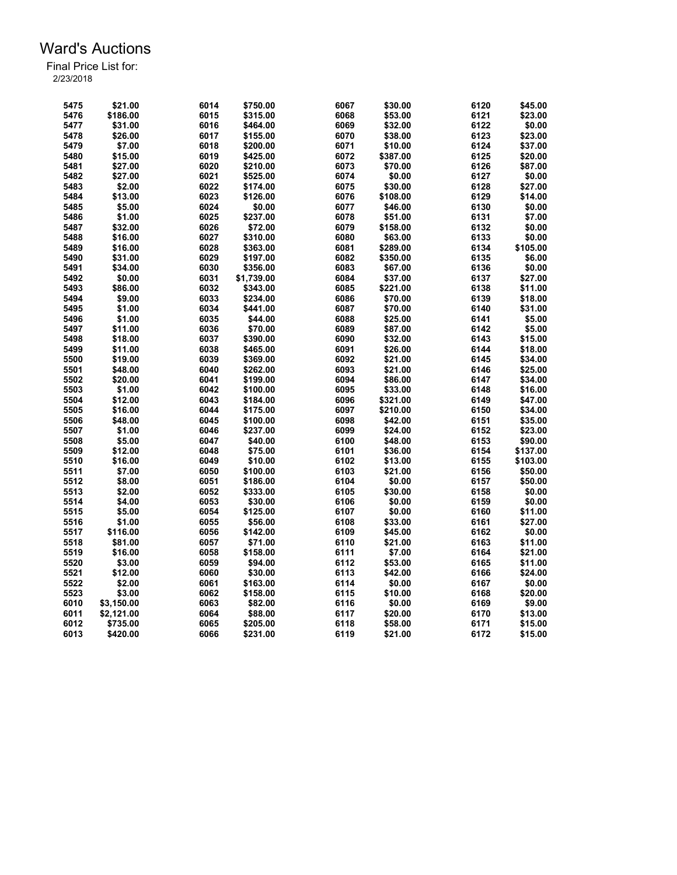| 5475 | \$21.00    | 6014 | \$750.00   | 6067 | \$30.00  | 6120 | \$45.00  |
|------|------------|------|------------|------|----------|------|----------|
| 5476 | \$186.00   | 6015 | \$315.00   | 6068 | \$53.00  | 6121 | \$23.00  |
| 5477 | \$31.00    | 6016 | \$464.00   | 6069 | \$32.00  | 6122 | \$0.00   |
| 5478 | \$26.00    | 6017 | \$155.00   | 6070 | \$38.00  | 6123 | \$23.00  |
| 5479 | \$7.00     | 6018 | \$200.00   | 6071 | \$10.00  | 6124 | \$37.00  |
| 5480 | \$15.00    | 6019 | \$425.00   | 6072 | \$387.00 | 6125 | \$20.00  |
| 5481 | \$27.00    | 6020 | \$210.00   | 6073 | \$70.00  | 6126 | \$87.00  |
| 5482 | \$27.00    | 6021 | \$525.00   | 6074 | \$0.00   | 6127 | \$0.00   |
| 5483 | \$2.00     | 6022 | \$174.00   | 6075 | \$30.00  | 6128 | \$27.00  |
| 5484 | \$13.00    | 6023 | \$126.00   | 6076 | \$108.00 | 6129 | \$14.00  |
| 5485 | \$5.00     | 6024 | \$0.00     | 6077 | \$46.00  | 6130 | \$0.00   |
| 5486 | \$1.00     | 6025 | \$237.00   | 6078 | \$51.00  | 6131 | \$7.00   |
| 5487 | \$32.00    | 6026 | \$72.00    | 6079 | \$158.00 | 6132 | \$0.00   |
| 5488 | \$16.00    | 6027 | \$310.00   | 6080 | \$63.00  | 6133 | \$0.00   |
| 5489 | \$16.00    | 6028 | \$363.00   | 6081 | \$289.00 | 6134 | \$105.00 |
| 5490 | \$31.00    | 6029 | \$197.00   | 6082 | \$350.00 | 6135 | \$6.00   |
| 5491 | \$34.00    | 6030 | \$356.00   | 6083 | \$67.00  | 6136 | \$0.00   |
| 5492 | \$0.00     | 6031 | \$1,739.00 | 6084 | \$37.00  | 6137 | \$27.00  |
| 5493 | \$86.00    | 6032 | \$343.00   | 6085 | \$221.00 | 6138 | \$11.00  |
| 5494 | \$9.00     | 6033 | \$234.00   | 6086 | \$70.00  | 6139 | \$18.00  |
| 5495 | \$1.00     | 6034 | \$441.00   | 6087 | \$70.00  | 6140 | \$31.00  |
| 5496 | \$1.00     | 6035 | \$44.00    | 6088 | \$25.00  | 6141 | \$5.00   |
| 5497 | \$11.00    | 6036 | \$70.00    | 6089 | \$87.00  | 6142 | \$5.00   |
|      |            | 6037 |            | 6090 |          |      |          |
| 5498 | \$18.00    |      | \$390.00   |      | \$32.00  | 6143 | \$15.00  |
| 5499 | \$11.00    | 6038 | \$465.00   | 6091 | \$26.00  | 6144 | \$18.00  |
| 5500 | \$19.00    | 6039 | \$369.00   | 6092 | \$21.00  | 6145 | \$34.00  |
| 5501 | \$48.00    | 6040 | \$262.00   | 6093 | \$21.00  | 6146 | \$25.00  |
| 5502 | \$20.00    | 6041 | \$199.00   | 6094 | \$86.00  | 6147 | \$34.00  |
| 5503 | \$1.00     | 6042 | \$100.00   | 6095 | \$33.00  | 6148 | \$16.00  |
| 5504 | \$12.00    | 6043 | \$184.00   | 6096 | \$321.00 | 6149 | \$47.00  |
| 5505 | \$16.00    | 6044 | \$175.00   | 6097 | \$210.00 | 6150 | \$34.00  |
| 5506 | \$48.00    | 6045 | \$100.00   | 6098 | \$42.00  | 6151 | \$35.00  |
| 5507 | \$1.00     | 6046 | \$237.00   | 6099 | \$24.00  | 6152 | \$23.00  |
| 5508 | \$5.00     | 6047 | \$40.00    | 6100 | \$48.00  | 6153 | \$90.00  |
| 5509 | \$12.00    | 6048 | \$75.00    | 6101 | \$36.00  | 6154 | \$137.00 |
| 5510 | \$16.00    | 6049 | \$10.00    | 6102 | \$13.00  | 6155 | \$103.00 |
| 5511 | \$7.00     | 6050 | \$100.00   | 6103 | \$21.00  | 6156 | \$50.00  |
| 5512 | \$8.00     | 6051 | \$186.00   | 6104 | \$0.00   | 6157 | \$50.00  |
| 5513 | \$2.00     | 6052 | \$333.00   | 6105 | \$30.00  | 6158 | \$0.00   |
| 5514 | \$4.00     | 6053 | \$30.00    | 6106 | \$0.00   | 6159 | \$0.00   |
| 5515 | \$5.00     | 6054 | \$125.00   | 6107 | \$0.00   | 6160 | \$11.00  |
| 5516 | \$1.00     | 6055 | \$56.00    | 6108 | \$33.00  | 6161 | \$27.00  |
| 5517 | \$116.00   | 6056 | \$142.00   | 6109 | \$45.00  | 6162 | \$0.00   |
| 5518 | \$81.00    | 6057 | \$71.00    | 6110 | \$21.00  | 6163 | \$11.00  |
| 5519 | \$16.00    | 6058 | \$158.00   | 6111 | \$7.00   | 6164 | \$21.00  |
| 5520 | \$3.00     | 6059 | \$94.00    | 6112 | \$53.00  | 6165 | \$11.00  |
| 5521 | \$12.00    | 6060 | \$30.00    | 6113 | \$42.00  | 6166 | \$24.00  |
| 5522 | \$2.00     | 6061 | \$163.00   | 6114 | \$0.00   | 6167 | \$0.00   |
| 5523 | \$3.00     | 6062 | \$158.00   | 6115 | \$10.00  | 6168 | \$20.00  |
| 6010 | \$3,150.00 | 6063 | \$82.00    | 6116 | \$0.00   | 6169 | \$9.00   |
| 6011 | \$2,121.00 | 6064 | \$88.00    | 6117 | \$20.00  | 6170 | \$13.00  |
| 6012 | \$735.00   | 6065 | \$205.00   | 6118 | \$58.00  | 6171 | \$15.00  |
| 6013 | \$420.00   | 6066 | \$231.00   | 6119 | \$21.00  | 6172 | \$15.00  |
|      |            |      |            |      |          |      |          |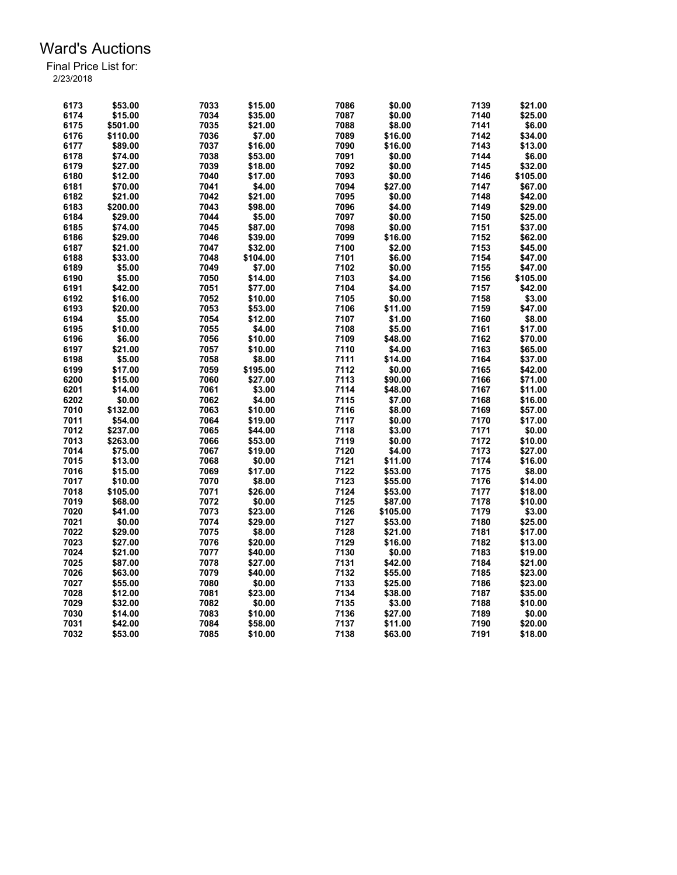| 6173 | \$53.00  | 7033 | \$15.00  | 7086 | \$0.00   | 7139 | \$21.00  |
|------|----------|------|----------|------|----------|------|----------|
| 6174 | \$15.00  | 7034 | \$35.00  | 7087 | \$0.00   | 7140 | \$25.00  |
| 6175 | \$501.00 | 7035 | \$21.00  | 7088 | \$8.00   | 7141 | \$6.00   |
| 6176 | \$110.00 | 7036 | \$7.00   | 7089 | \$16.00  | 7142 | \$34.00  |
| 6177 | \$89.00  | 7037 | \$16.00  | 7090 | \$16.00  | 7143 | \$13.00  |
| 6178 | \$74.00  | 7038 | \$53.00  | 7091 | \$0.00   | 7144 | \$6.00   |
| 6179 | \$27.00  | 7039 | \$18.00  | 7092 | \$0.00   | 7145 | \$32.00  |
| 6180 | \$12.00  | 7040 | \$17.00  | 7093 | \$0.00   | 7146 | \$105.00 |
| 6181 | \$70.00  | 7041 | \$4.00   | 7094 | \$27.00  | 7147 | \$67.00  |
| 6182 | \$21.00  | 7042 | \$21.00  | 7095 | \$0.00   | 7148 | \$42.00  |
| 6183 | \$200.00 | 7043 | \$98.00  | 7096 | \$4.00   | 7149 | \$29.00  |
| 6184 | \$29.00  | 7044 | \$5.00   | 7097 | \$0.00   | 7150 | \$25.00  |
| 6185 | \$74.00  | 7045 | \$87.00  | 7098 | \$0.00   | 7151 | \$37.00  |
| 6186 | \$29.00  | 7046 | \$39.00  | 7099 | \$16.00  | 7152 | \$62.00  |
| 6187 | \$21.00  | 7047 | \$32.00  | 7100 | \$2.00   | 7153 | \$45.00  |
| 6188 | \$33.00  | 7048 | \$104.00 | 7101 | \$6.00   | 7154 | \$47.00  |
| 6189 | \$5.00   | 7049 | \$7.00   | 7102 | \$0.00   | 7155 | \$47.00  |
| 6190 | \$5.00   | 7050 | \$14.00  | 7103 | \$4.00   | 7156 | \$105.00 |
| 6191 | \$42.00  | 7051 | \$77.00  | 7104 | \$4.00   | 7157 | \$42.00  |
| 6192 | \$16.00  | 7052 | \$10.00  | 7105 | \$0.00   | 7158 | \$3.00   |
| 6193 | \$20.00  | 7053 | \$53.00  | 7106 | \$11.00  | 7159 | \$47.00  |
| 6194 | \$5.00   | 7054 | \$12.00  | 7107 | \$1.00   | 7160 | \$8.00   |
| 6195 | \$10.00  | 7055 | \$4.00   | 7108 | \$5.00   | 7161 | \$17.00  |
| 6196 | \$6.00   | 7056 | \$10.00  | 7109 | \$48.00  | 7162 |          |
|      |          |      |          |      |          |      | \$70.00  |
| 6197 | \$21.00  | 7057 | \$10.00  | 7110 | \$4.00   | 7163 | \$65.00  |
| 6198 | \$5.00   | 7058 | \$8.00   | 7111 | \$14.00  | 7164 | \$37.00  |
| 6199 | \$17.00  | 7059 | \$195.00 | 7112 | \$0.00   | 7165 | \$42.00  |
| 6200 | \$15.00  | 7060 | \$27.00  | 7113 | \$90.00  | 7166 | \$71.00  |
| 6201 | \$14.00  | 7061 | \$3.00   | 7114 | \$48.00  | 7167 | \$11.00  |
| 6202 | \$0.00   | 7062 | \$4.00   | 7115 | \$7.00   | 7168 | \$16.00  |
| 7010 | \$132.00 | 7063 | \$10.00  | 7116 | \$8.00   | 7169 | \$57.00  |
| 7011 | \$54.00  | 7064 | \$19.00  | 7117 | \$0.00   | 7170 | \$17.00  |
| 7012 | \$237.00 | 7065 | \$44.00  | 7118 | \$3.00   | 7171 | \$0.00   |
| 7013 | \$263.00 | 7066 | \$53.00  | 7119 | \$0.00   | 7172 | \$10.00  |
| 7014 | \$75.00  | 7067 | \$19.00  | 7120 | \$4.00   | 7173 | \$27.00  |
| 7015 | \$13.00  | 7068 | \$0.00   | 7121 | \$11.00  | 7174 | \$16.00  |
| 7016 | \$15.00  | 7069 | \$17.00  | 7122 | \$53.00  | 7175 | \$8.00   |
| 7017 | \$10.00  | 7070 | \$8.00   | 7123 | \$55.00  | 7176 | \$14.00  |
| 7018 | \$105.00 | 7071 | \$26.00  | 7124 | \$53.00  | 7177 | \$18.00  |
| 7019 | \$68.00  | 7072 | \$0.00   | 7125 | \$87.00  | 7178 | \$10.00  |
| 7020 | \$41.00  | 7073 | \$23.00  | 7126 | \$105.00 | 7179 | \$3.00   |
| 7021 | \$0.00   | 7074 | \$29.00  | 7127 | \$53.00  | 7180 | \$25.00  |
| 7022 | \$29.00  | 7075 | \$8.00   | 7128 | \$21.00  | 7181 | \$17.00  |
| 7023 | \$27.00  | 7076 | \$20.00  | 7129 | \$16.00  | 7182 | \$13.00  |
| 7024 | \$21.00  | 7077 | \$40.00  | 7130 | \$0.00   | 7183 | \$19.00  |
| 7025 | \$87.00  | 7078 | \$27.00  | 7131 | \$42.00  | 7184 | \$21.00  |
| 7026 | \$63.00  | 7079 | \$40.00  | 7132 | \$55.00  | 7185 | \$23.00  |
| 7027 | \$55.00  | 7080 | \$0.00   | 7133 | \$25.00  | 7186 | \$23.00  |
| 7028 | \$12.00  | 7081 | \$23.00  | 7134 | \$38.00  | 7187 | \$35.00  |
| 7029 | \$32.00  | 7082 | \$0.00   | 7135 | \$3.00   | 7188 | \$10.00  |
| 7030 | \$14.00  | 7083 | \$10.00  | 7136 | \$27.00  | 7189 | \$0.00   |
| 7031 | \$42.00  | 7084 | \$58.00  | 7137 | \$11.00  | 7190 | \$20.00  |
| 7032 | \$53.00  | 7085 | \$10.00  | 7138 | \$63.00  | 7191 | \$18.00  |
|      |          |      |          |      |          |      |          |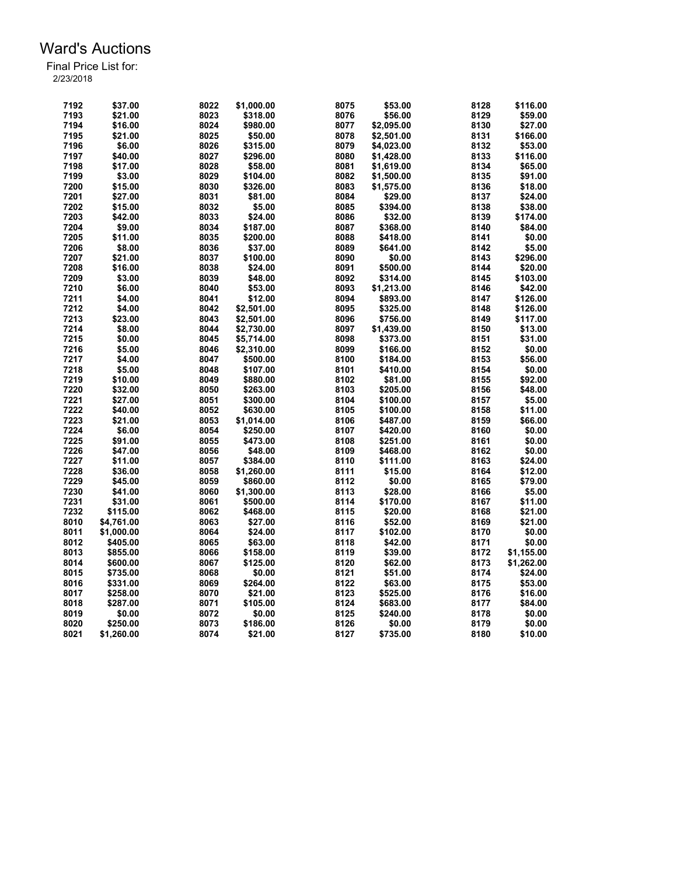| 7192 | \$37.00    | 8022 | \$1,000.00 | 8075 | \$53.00    | 8128 | \$116.00   |
|------|------------|------|------------|------|------------|------|------------|
| 7193 | \$21.00    | 8023 | \$318.00   | 8076 | \$56.00    | 8129 | \$59.00    |
| 7194 | \$16.00    | 8024 | \$980.00   | 8077 | \$2,095.00 | 8130 | \$27.00    |
| 7195 | \$21.00    | 8025 | \$50.00    | 8078 | \$2,501.00 | 8131 | \$166.00   |
| 7196 | \$6.00     | 8026 | \$315.00   | 8079 | \$4,023.00 | 8132 | \$53.00    |
| 7197 | \$40.00    | 8027 | \$296.00   | 8080 | \$1,428.00 | 8133 | \$116.00   |
| 7198 | \$17.00    | 8028 | \$58.00    | 8081 | \$1,619.00 | 8134 | \$65.00    |
| 7199 | \$3.00     | 8029 | \$104.00   | 8082 | \$1,500.00 | 8135 | \$91.00    |
| 7200 | \$15.00    | 8030 | \$326.00   | 8083 | \$1,575.00 | 8136 | \$18.00    |
| 7201 | \$27.00    | 8031 | \$81.00    | 8084 | \$29.00    | 8137 | \$24.00    |
| 7202 | \$15.00    | 8032 | \$5.00     | 8085 | \$394.00   | 8138 | \$38.00    |
|      |            |      |            |      |            |      |            |
| 7203 | \$42.00    | 8033 | \$24.00    | 8086 | \$32.00    | 8139 | \$174.00   |
| 7204 | \$9.00     | 8034 | \$187.00   | 8087 | \$368.00   | 8140 | \$84.00    |
| 7205 | \$11.00    | 8035 | \$200.00   | 8088 | \$418.00   | 8141 | \$0.00     |
| 7206 | \$8.00     | 8036 | \$37.00    | 8089 | \$641.00   | 8142 | \$5.00     |
| 7207 | \$21.00    | 8037 | \$100.00   | 8090 | \$0.00     | 8143 | \$296.00   |
| 7208 | \$16.00    | 8038 | \$24.00    | 8091 | \$500.00   | 8144 | \$20.00    |
| 7209 | \$3.00     | 8039 | \$48.00    | 8092 | \$314.00   | 8145 | \$103.00   |
| 7210 | \$6.00     | 8040 | \$53.00    | 8093 | \$1,213.00 | 8146 | \$42.00    |
| 7211 | \$4.00     | 8041 | \$12.00    | 8094 | \$893.00   | 8147 | \$126.00   |
| 7212 | \$4.00     | 8042 | \$2,501.00 | 8095 | \$325.00   | 8148 | \$126.00   |
| 7213 | \$23.00    | 8043 | \$2,501.00 | 8096 | \$756.00   | 8149 | \$117.00   |
| 7214 | \$8.00     | 8044 | \$2,730.00 | 8097 | \$1,439.00 | 8150 | \$13.00    |
| 7215 | \$0.00     | 8045 | \$5,714.00 | 8098 | \$373.00   | 8151 | \$31.00    |
| 7216 | \$5.00     | 8046 | \$2,310.00 | 8099 | \$166.00   | 8152 | \$0.00     |
| 7217 | \$4.00     | 8047 | \$500.00   | 8100 | \$184.00   | 8153 | \$56.00    |
| 7218 | \$5.00     | 8048 | \$107.00   | 8101 | \$410.00   | 8154 | \$0.00     |
| 7219 | \$10.00    | 8049 | \$880.00   | 8102 | \$81.00    | 8155 | \$92.00    |
| 7220 | \$32.00    | 8050 | \$263.00   | 8103 | \$205.00   | 8156 | \$48.00    |
| 7221 | \$27.00    | 8051 | \$300.00   | 8104 | \$100.00   | 8157 | \$5.00     |
| 7222 | \$40.00    | 8052 | \$630.00   | 8105 | \$100.00   | 8158 | \$11.00    |
| 7223 | \$21.00    | 8053 | \$1,014.00 | 8106 | \$487.00   | 8159 | \$66.00    |
| 7224 | \$6.00     | 8054 | \$250.00   | 8107 | \$420.00   | 8160 | \$0.00     |
|      |            |      |            |      |            |      |            |
| 7225 | \$91.00    | 8055 | \$473.00   | 8108 | \$251.00   | 8161 | \$0.00     |
| 7226 | \$47.00    | 8056 | \$48.00    | 8109 | \$468.00   | 8162 | \$0.00     |
| 7227 | \$11.00    | 8057 | \$384.00   | 8110 | \$111.00   | 8163 | \$24.00    |
| 7228 | \$36.00    | 8058 | \$1,260.00 | 8111 | \$15.00    | 8164 | \$12.00    |
| 7229 | \$45.00    | 8059 | \$860.00   | 8112 | \$0.00     | 8165 | \$79.00    |
| 7230 | \$41.00    | 8060 | \$1,300.00 | 8113 | \$28.00    | 8166 | \$5.00     |
| 7231 | \$31.00    | 8061 | \$500.00   | 8114 | \$170.00   | 8167 | \$11.00    |
| 7232 | \$115.00   | 8062 | \$468.00   | 8115 | \$20.00    | 8168 | \$21.00    |
| 8010 | \$4,761.00 | 8063 | \$27.00    | 8116 | \$52.00    | 8169 | \$21.00    |
| 8011 | \$1,000.00 | 8064 | \$24.00    | 8117 | \$102.00   | 8170 | \$0.00     |
| 8012 | \$405.00   | 8065 | \$63.00    | 8118 | \$42.00    | 8171 | \$0.00     |
| 8013 | \$855.00   | 8066 | \$158.00   | 8119 | \$39.00    | 8172 | \$1,155.00 |
| 8014 | \$600.00   | 8067 | \$125.00   | 8120 | \$62.00    | 8173 | \$1,262.00 |
| 8015 | \$735.00   | 8068 | \$0.00     | 8121 | \$51.00    | 8174 | \$24.00    |
| 8016 | \$331.00   | 8069 | \$264.00   | 8122 | \$63.00    | 8175 | \$53.00    |
| 8017 | \$258.00   | 8070 | \$21.00    | 8123 | \$525.00   | 8176 | \$16.00    |
| 8018 | \$287.00   | 8071 | \$105.00   | 8124 | \$683.00   | 8177 | \$84.00    |
| 8019 | \$0.00     | 8072 | \$0.00     | 8125 | \$240.00   | 8178 | \$0.00     |
| 8020 | \$250.00   | 8073 | \$186.00   | 8126 | \$0.00     | 8179 | \$0.00     |
| 8021 | \$1,260.00 | 8074 | \$21.00    | 8127 | \$735.00   | 8180 | \$10.00    |
|      |            |      |            |      |            |      |            |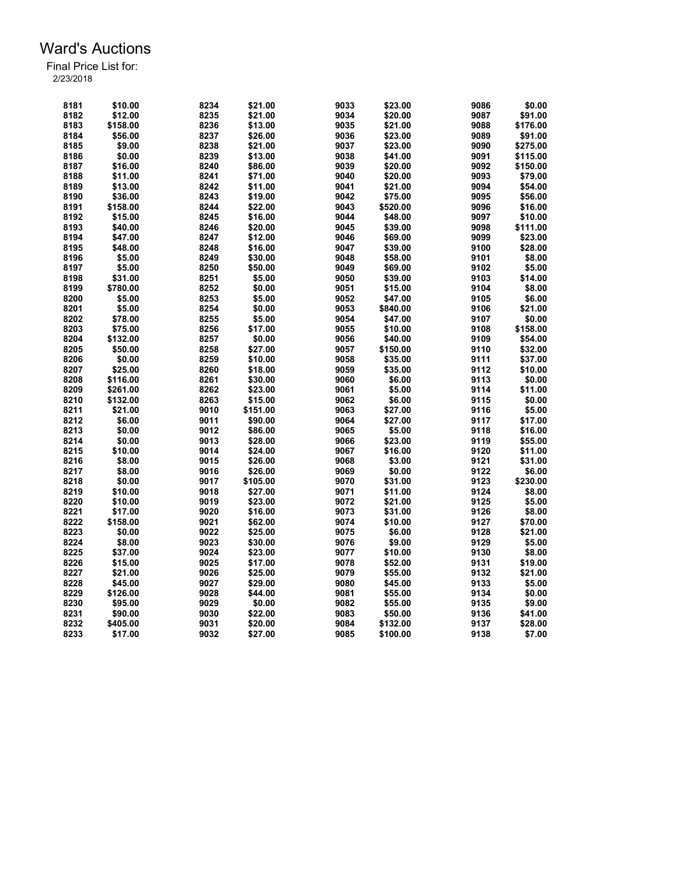| 8181 | \$10.00  | 8234 | \$21.00  | 9033 | \$23.00  | 9086 | \$0.00   |
|------|----------|------|----------|------|----------|------|----------|
| 8182 | \$12.00  | 8235 | \$21.00  | 9034 | \$20.00  | 9087 | \$91.00  |
| 8183 | \$158.00 | 8236 | \$13.00  | 9035 | \$21.00  | 9088 | \$176.00 |
| 8184 | \$56.00  | 8237 | \$26.00  | 9036 | \$23.00  | 9089 | \$91.00  |
| 8185 | \$9.00   | 8238 | \$21.00  | 9037 | \$23.00  | 9090 | \$275.00 |
| 8186 | \$0.00   | 8239 | \$13.00  | 9038 | \$41.00  | 9091 | \$115.00 |
| 8187 | \$16.00  | 8240 | \$86.00  | 9039 | \$20.00  | 9092 | \$150.00 |
| 8188 | \$11.00  | 8241 | \$71.00  | 9040 | \$20.00  | 9093 | \$79.00  |
|      |          |      |          |      |          |      |          |
| 8189 | \$13.00  | 8242 | \$11.00  | 9041 | \$21.00  | 9094 | \$54.00  |
| 8190 | \$36.00  | 8243 | \$19.00  | 9042 | \$75.00  | 9095 | \$56.00  |
| 8191 | \$158.00 | 8244 | \$22.00  | 9043 | \$520.00 | 9096 | \$16.00  |
| 8192 | \$15.00  | 8245 | \$16.00  | 9044 | \$48.00  | 9097 | \$10.00  |
| 8193 | \$40.00  | 8246 | \$20.00  | 9045 | \$39.00  | 9098 | \$111.00 |
| 8194 | \$47.00  | 8247 | \$12.00  | 9046 | \$69.00  | 9099 | \$23.00  |
| 8195 | \$48.00  | 8248 | \$16.00  | 9047 | \$39.00  | 9100 | \$28.00  |
| 8196 | \$5.00   | 8249 | \$30.00  | 9048 | \$58.00  | 9101 | \$8.00   |
| 8197 | \$5.00   | 8250 | \$50.00  | 9049 | \$69.00  | 9102 | \$5.00   |
| 8198 | \$31.00  | 8251 | \$5.00   | 9050 | \$39.00  | 9103 | \$14.00  |
|      |          |      |          |      |          |      |          |
| 8199 | \$780.00 | 8252 | \$0.00   | 9051 | \$15.00  | 9104 | \$8.00   |
| 8200 | \$5.00   | 8253 | \$5.00   | 9052 | \$47.00  | 9105 | \$6.00   |
| 8201 | \$5.00   | 8254 | \$0.00   | 9053 | \$840.00 | 9106 | \$21.00  |
| 8202 | \$78.00  | 8255 | \$5.00   | 9054 | \$47.00  | 9107 | \$0.00   |
| 8203 | \$75.00  | 8256 | \$17.00  | 9055 | \$10.00  | 9108 | \$158.00 |
| 8204 | \$132.00 | 8257 | \$0.00   | 9056 | \$40.00  | 9109 | \$54.00  |
| 8205 | \$50.00  | 8258 | \$27.00  | 9057 | \$150.00 | 9110 | \$32.00  |
| 8206 | \$0.00   | 8259 | \$10.00  | 9058 | \$35.00  | 9111 | \$37.00  |
| 8207 | \$25.00  | 8260 | \$18.00  | 9059 | \$35.00  | 9112 | \$10.00  |
| 8208 | \$116.00 | 8261 | \$30.00  | 9060 | \$6.00   | 9113 | \$0.00   |
| 8209 | \$261.00 | 8262 | \$23.00  | 9061 | \$5.00   | 9114 | \$11.00  |
| 8210 |          |      |          | 9062 | \$6.00   | 9115 | \$0.00   |
|      | \$132.00 | 8263 | \$15.00  |      |          |      |          |
| 8211 | \$21.00  | 9010 | \$151.00 | 9063 | \$27.00  | 9116 | \$5.00   |
| 8212 | \$6.00   | 9011 | \$90.00  | 9064 | \$27.00  | 9117 | \$17.00  |
| 8213 | \$0.00   | 9012 | \$86.00  | 9065 | \$5.00   | 9118 | \$16.00  |
| 8214 | \$0.00   | 9013 | \$28.00  | 9066 | \$23.00  | 9119 | \$55.00  |
| 8215 | \$10.00  | 9014 | \$24.00  | 9067 | \$16.00  | 9120 | \$11.00  |
| 8216 | \$8.00   | 9015 | \$26.00  | 9068 | \$3.00   | 9121 | \$31.00  |
| 8217 | \$8.00   | 9016 | \$26.00  | 9069 | \$0.00   | 9122 | \$6.00   |
| 8218 | \$0.00   | 9017 | \$105.00 | 9070 | \$31.00  | 9123 | \$230.00 |
| 8219 | \$10.00  | 9018 | \$27.00  | 9071 | \$11.00  | 9124 | \$8.00   |
| 8220 | \$10.00  | 9019 | \$23.00  | 9072 | \$21.00  | 9125 | \$5.00   |
| 8221 | \$17.00  | 9020 | \$16.00  | 9073 | \$31.00  | 9126 | \$8.00   |
|      |          |      |          |      |          |      |          |
| 8222 | \$158.00 | 9021 | \$62.00  | 9074 | \$10.00  | 9127 | \$70.00  |
| 8223 | \$0.00   | 9022 | \$25.00  | 9075 | \$6.00   | 9128 | \$21.00  |
| 8224 | \$8.00   | 9023 | \$30.00  | 9076 | \$9.00   | 9129 | \$5.00   |
| 8225 | \$37.00  | 9024 | \$23.00  | 9077 | \$10.00  | 9130 | \$8.00   |
| 8226 | \$15.00  | 9025 | \$17.00  | 9078 | \$52.00  | 9131 | \$19.00  |
| 8227 | \$21.00  | 9026 | \$25.00  | 9079 | \$55.00  | 9132 | \$21.00  |
| 8228 | \$45.00  | 9027 | \$29.00  | 9080 | \$45.00  | 9133 | \$5.00   |
| 8229 | \$126.00 | 9028 | \$44.00  | 9081 | \$55.00  | 9134 | \$0.00   |
| 8230 | \$95.00  | 9029 | \$0.00   | 9082 | \$55.00  | 9135 | \$9.00   |
| 8231 | \$90.00  | 9030 | \$22.00  | 9083 | \$50.00  | 9136 | \$41.00  |
| 8232 | \$405.00 | 9031 | \$20.00  | 9084 | \$132.00 | 9137 | \$28.00  |
| 8233 |          |      |          |      |          | 9138 |          |
|      | \$17.00  | 9032 | \$27.00  | 9085 | \$100.00 |      | \$7.00   |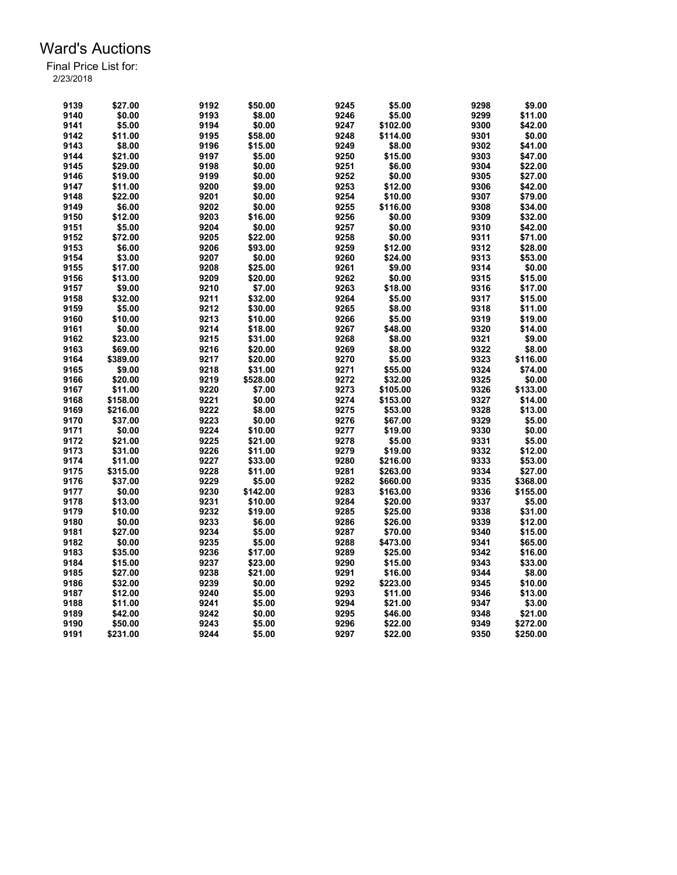| 9139 | \$27.00  | 9192 | \$50.00  | 9245 | \$5.00   | 9298 | \$9.00   |
|------|----------|------|----------|------|----------|------|----------|
| 9140 | \$0.00   | 9193 | \$8.00   | 9246 | \$5.00   | 9299 | \$11.00  |
| 9141 | \$5.00   | 9194 | \$0.00   | 9247 | \$102.00 | 9300 | \$42.00  |
| 9142 | \$11.00  | 9195 | \$58.00  | 9248 | \$114.00 | 9301 | \$0.00   |
| 9143 | \$8.00   | 9196 | \$15.00  | 9249 | \$8.00   | 9302 | \$41.00  |
| 9144 | \$21.00  | 9197 | \$5.00   | 9250 | \$15.00  | 9303 | \$47.00  |
| 9145 | \$29.00  | 9198 | \$0.00   | 9251 | \$6.00   | 9304 | \$22.00  |
| 9146 | \$19.00  | 9199 | \$0.00   | 9252 | \$0.00   | 9305 | \$27.00  |
| 9147 | \$11.00  | 9200 | \$9.00   | 9253 | \$12.00  | 9306 | \$42.00  |
| 9148 | \$22.00  | 9201 | \$0.00   | 9254 | \$10.00  | 9307 | \$79.00  |
| 9149 | \$6.00   | 9202 | \$0.00   | 9255 | \$116.00 | 9308 | \$34.00  |
| 9150 | \$12.00  | 9203 | \$16.00  | 9256 | \$0.00   | 9309 | \$32.00  |
| 9151 | \$5.00   | 9204 | \$0.00   | 9257 | \$0.00   | 9310 | \$42.00  |
| 9152 | \$72.00  | 9205 | \$22.00  | 9258 | \$0.00   | 9311 | \$71.00  |
| 9153 | \$6.00   | 9206 | \$93.00  | 9259 | \$12.00  | 9312 | \$28.00  |
| 9154 | \$3.00   | 9207 | \$0.00   | 9260 | \$24.00  | 9313 | \$53.00  |
| 9155 | \$17.00  | 9208 | \$25.00  | 9261 | \$9.00   | 9314 | \$0.00   |
|      | \$13.00  | 9209 | \$20.00  | 9262 | \$0.00   | 9315 |          |
| 9156 |          |      |          |      |          |      | \$15.00  |
| 9157 | \$9.00   | 9210 | \$7.00   | 9263 | \$18.00  | 9316 | \$17.00  |
| 9158 | \$32.00  | 9211 | \$32.00  | 9264 | \$5.00   | 9317 | \$15.00  |
| 9159 | \$5.00   | 9212 | \$30.00  | 9265 | \$8.00   | 9318 | \$11.00  |
| 9160 | \$10.00  | 9213 | \$10.00  | 9266 | \$5.00   | 9319 | \$19.00  |
| 9161 | \$0.00   | 9214 | \$18.00  | 9267 | \$48.00  | 9320 | \$14.00  |
| 9162 | \$23.00  | 9215 | \$31.00  | 9268 | \$8.00   | 9321 | \$9.00   |
| 9163 | \$69.00  | 9216 | \$20.00  | 9269 | \$8.00   | 9322 | \$8.00   |
| 9164 | \$389.00 | 9217 | \$20.00  | 9270 | \$5.00   | 9323 | \$116.00 |
| 9165 | \$9.00   | 9218 | \$31.00  | 9271 | \$55.00  | 9324 | \$74.00  |
| 9166 | \$20.00  | 9219 | \$528.00 | 9272 | \$32.00  | 9325 | \$0.00   |
| 9167 | \$11.00  | 9220 | \$7.00   | 9273 | \$105.00 | 9326 | \$133.00 |
| 9168 | \$158.00 | 9221 | \$0.00   | 9274 | \$153.00 | 9327 | \$14.00  |
| 9169 | \$216.00 | 9222 | \$8.00   | 9275 | \$53.00  | 9328 | \$13.00  |
| 9170 | \$37.00  | 9223 | \$0.00   | 9276 | \$67.00  | 9329 | \$5.00   |
| 9171 | \$0.00   | 9224 | \$10.00  | 9277 | \$19.00  | 9330 | \$0.00   |
| 9172 | \$21.00  | 9225 | \$21.00  | 9278 | \$5.00   | 9331 | \$5.00   |
| 9173 | \$31.00  | 9226 | \$11.00  | 9279 | \$19.00  | 9332 | \$12.00  |
| 9174 | \$11.00  | 9227 | \$33.00  | 9280 | \$216.00 | 9333 | \$53.00  |
| 9175 | \$315.00 | 9228 | \$11.00  | 9281 | \$263.00 | 9334 | \$27.00  |
| 9176 | \$37.00  | 9229 | \$5.00   | 9282 | \$660.00 | 9335 | \$368.00 |
| 9177 | \$0.00   | 9230 | \$142.00 | 9283 | \$163.00 | 9336 | \$155.00 |
| 9178 | \$13.00  | 9231 | \$10.00  | 9284 | \$20.00  | 9337 | \$5.00   |
| 9179 | \$10.00  | 9232 | \$19.00  | 9285 | \$25.00  | 9338 | \$31.00  |
| 9180 | \$0.00   | 9233 | \$6.00   | 9286 | \$26.00  | 9339 | \$12.00  |
| 9181 | \$27.00  | 9234 | \$5.00   | 9287 | \$70.00  | 9340 | \$15.00  |
|      |          | 9235 | \$5.00   | 9288 | \$473.00 | 9341 | \$65.00  |
| 9182 | \$0.00   |      |          |      |          |      |          |
| 9183 | \$35.00  | 9236 | \$17.00  | 9289 | \$25.00  | 9342 | \$16.00  |
| 9184 | \$15.00  | 9237 | \$23.00  | 9290 | \$15.00  | 9343 | \$33.00  |
| 9185 | \$27.00  | 9238 | \$21.00  | 9291 | \$16.00  | 9344 | \$8.00   |
| 9186 | \$32.00  | 9239 | \$0.00   | 9292 | \$223.00 | 9345 | \$10.00  |
| 9187 | \$12.00  | 9240 | \$5.00   | 9293 | \$11.00  | 9346 | \$13.00  |
| 9188 | \$11.00  | 9241 | \$5.00   | 9294 | \$21.00  | 9347 | \$3.00   |
| 9189 | \$42.00  | 9242 | \$0.00   | 9295 | \$46.00  | 9348 | \$21.00  |
| 9190 | \$50.00  | 9243 | \$5.00   | 9296 | \$22.00  | 9349 | \$272.00 |
| 9191 | \$231.00 | 9244 | \$5.00   | 9297 | \$22.00  | 9350 | \$250.00 |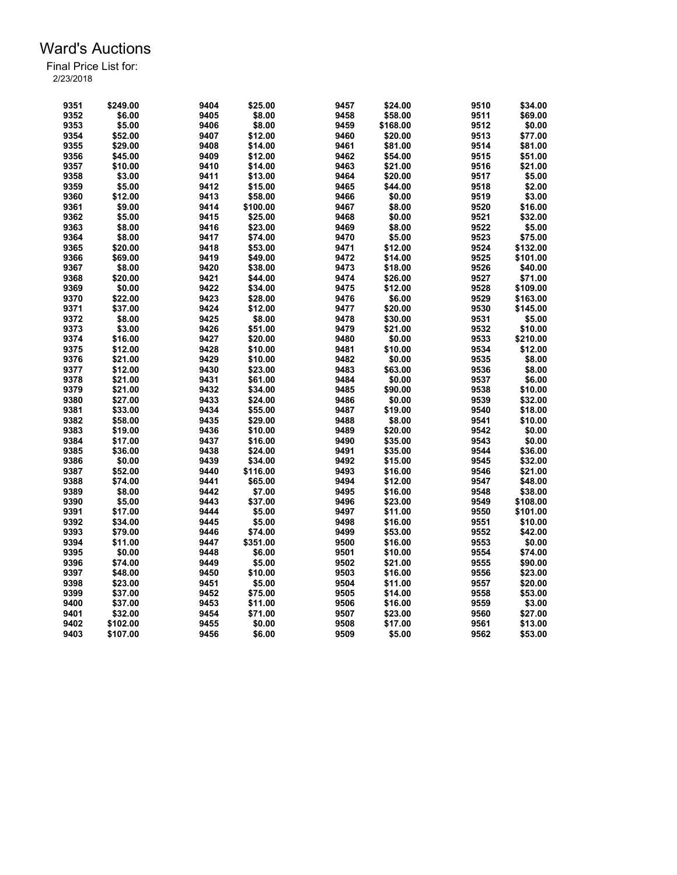| 9351 | \$249.00 | 9404 | \$25.00  | 9457 | \$24.00  | 9510 | \$34.00  |
|------|----------|------|----------|------|----------|------|----------|
| 9352 | \$6.00   | 9405 | \$8.00   | 9458 | \$58.00  | 9511 | \$69.00  |
| 9353 | \$5.00   | 9406 | \$8.00   | 9459 | \$168.00 | 9512 | \$0.00   |
| 9354 | \$52.00  | 9407 | \$12.00  | 9460 | \$20.00  | 9513 | \$77.00  |
| 9355 | \$29.00  | 9408 | \$14.00  | 9461 | \$81.00  | 9514 | \$81.00  |
| 9356 | \$45.00  | 9409 | \$12.00  | 9462 | \$54.00  | 9515 | \$51.00  |
| 9357 | \$10.00  | 9410 | \$14.00  | 9463 | \$21.00  | 9516 | \$21.00  |
| 9358 | \$3.00   | 9411 | \$13.00  | 9464 | \$20.00  | 9517 | \$5.00   |
| 9359 | \$5.00   | 9412 | \$15.00  | 9465 | \$44.00  | 9518 | \$2.00   |
| 9360 | \$12.00  | 9413 | \$58.00  | 9466 | \$0.00   | 9519 | \$3.00   |
| 9361 | \$9.00   | 9414 | \$100.00 | 9467 | \$8.00   | 9520 | \$16.00  |
| 9362 | \$5.00   | 9415 | \$25.00  | 9468 | \$0.00   | 9521 | \$32.00  |
| 9363 | \$8.00   | 9416 | \$23.00  | 9469 | \$8.00   | 9522 | \$5.00   |
| 9364 | \$8.00   | 9417 | \$74.00  | 9470 | \$5.00   | 9523 | \$75.00  |
| 9365 | \$20.00  | 9418 | \$53.00  | 9471 | \$12.00  | 9524 | \$132.00 |
| 9366 | \$69.00  | 9419 | \$49.00  | 9472 | \$14.00  | 9525 | \$101.00 |
| 9367 | \$8.00   | 9420 | \$38.00  | 9473 | \$18.00  | 9526 | \$40.00  |
| 9368 | \$20.00  | 9421 | \$44.00  | 9474 | \$26.00  | 9527 | \$71.00  |
| 9369 | \$0.00   | 9422 | \$34.00  | 9475 | \$12.00  | 9528 | \$109.00 |
| 9370 | \$22.00  | 9423 | \$28.00  | 9476 | \$6.00   | 9529 | \$163.00 |
| 9371 | \$37.00  | 9424 | \$12.00  | 9477 | \$20.00  | 9530 | \$145.00 |
| 9372 | \$8.00   | 9425 | \$8.00   | 9478 | \$30.00  | 9531 | \$5.00   |
| 9373 | \$3.00   | 9426 | \$51.00  | 9479 | \$21.00  | 9532 | \$10.00  |
| 9374 | \$16.00  | 9427 | \$20.00  | 9480 | \$0.00   | 9533 | \$210.00 |
| 9375 | \$12.00  | 9428 | \$10.00  | 9481 | \$10.00  | 9534 | \$12.00  |
| 9376 | \$21.00  | 9429 | \$10.00  | 9482 | \$0.00   | 9535 | \$8.00   |
| 9377 | \$12.00  | 9430 | \$23.00  | 9483 | \$63.00  | 9536 | \$8.00   |
| 9378 | \$21.00  | 9431 | \$61.00  | 9484 | \$0.00   | 9537 | \$6.00   |
| 9379 | \$21.00  | 9432 | \$34.00  | 9485 | \$90.00  | 9538 | \$10.00  |
| 9380 | \$27.00  | 9433 | \$24.00  | 9486 | \$0.00   | 9539 | \$32.00  |
| 9381 | \$33.00  | 9434 | \$55.00  | 9487 | \$19.00  | 9540 | \$18.00  |
| 9382 | \$58.00  | 9435 | \$29.00  | 9488 | \$8.00   | 9541 | \$10.00  |
| 9383 | \$19.00  | 9436 | \$10.00  | 9489 | \$20.00  | 9542 | \$0.00   |
| 9384 | \$17.00  | 9437 | \$16.00  | 9490 | \$35.00  | 9543 | \$0.00   |
| 9385 | \$36.00  | 9438 | \$24.00  | 9491 | \$35.00  | 9544 | \$36.00  |
| 9386 | \$0.00   | 9439 | \$34.00  | 9492 | \$15.00  | 9545 | \$32.00  |
| 9387 | \$52.00  | 9440 | \$116.00 | 9493 | \$16.00  | 9546 | \$21.00  |
| 9388 | \$74.00  | 9441 | \$65.00  | 9494 | \$12.00  | 9547 | \$48.00  |
| 9389 | \$8.00   | 9442 | \$7.00   | 9495 | \$16.00  | 9548 | \$38.00  |
| 9390 | \$5.00   | 9443 | \$37.00  | 9496 | \$23.00  | 9549 | \$108.00 |
| 9391 | \$17.00  | 9444 | \$5.00   | 9497 | \$11.00  | 9550 | \$101.00 |
| 9392 | \$34.00  | 9445 | \$5.00   | 9498 | \$16.00  | 9551 | \$10.00  |
| 9393 | \$79.00  | 9446 | \$74.00  | 9499 | \$53.00  | 9552 | \$42.00  |
| 9394 | \$11.00  | 9447 | \$351.00 | 9500 | \$16.00  | 9553 | \$0.00   |
| 9395 | \$0.00   | 9448 | \$6.00   | 9501 | \$10.00  | 9554 | \$74.00  |
| 9396 | \$74.00  | 9449 | \$5.00   | 9502 | \$21.00  | 9555 | \$90.00  |
| 9397 | \$48.00  | 9450 | \$10.00  | 9503 | \$16.00  | 9556 | \$23.00  |
| 9398 | \$23.00  | 9451 | \$5.00   | 9504 | \$11.00  | 9557 | \$20.00  |
| 9399 | \$37.00  | 9452 | \$75.00  | 9505 | \$14.00  | 9558 | \$53.00  |
| 9400 | \$37.00  | 9453 | \$11.00  | 9506 | \$16.00  | 9559 | \$3.00   |
| 9401 | \$32.00  | 9454 | \$71.00  | 9507 | \$23.00  | 9560 | \$27.00  |
| 9402 | \$102.00 | 9455 | \$0.00   | 9508 | \$17.00  | 9561 | \$13.00  |
| 9403 | \$107.00 | 9456 | \$6.00   | 9509 | \$5.00   | 9562 | \$53.00  |
|      |          |      |          |      |          |      |          |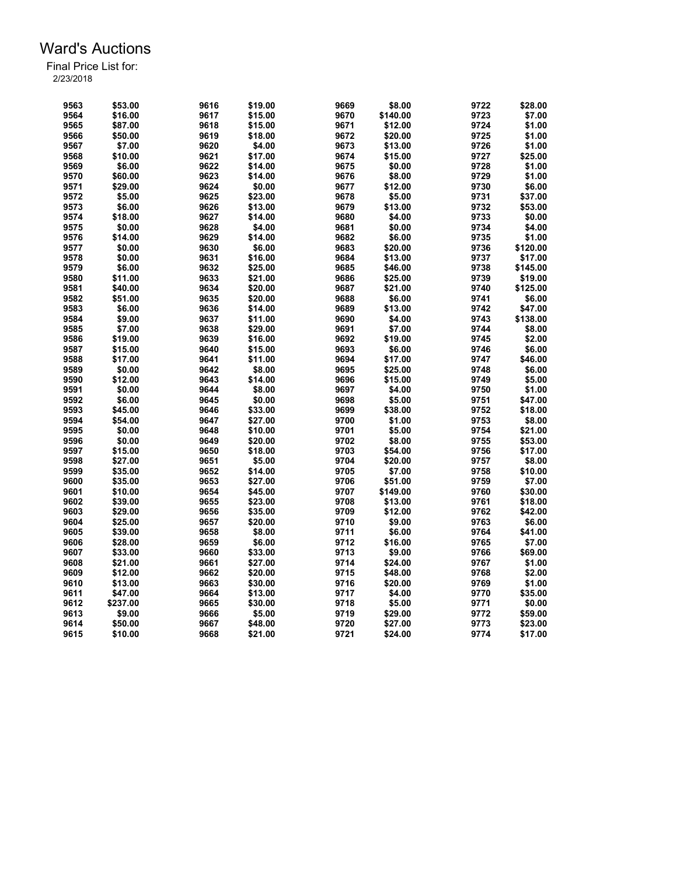| 9563 | \$53.00  | 9616 | \$19.00            | 9669 | \$8.00            | 9722 | \$28.00  |
|------|----------|------|--------------------|------|-------------------|------|----------|
| 9564 | \$16.00  | 9617 | \$15.00            | 9670 | \$140.00          | 9723 | \$7.00   |
| 9565 | \$87.00  | 9618 | \$15.00            | 9671 | \$12.00           | 9724 | \$1.00   |
| 9566 | \$50.00  | 9619 | \$18.00            | 9672 | \$20.00           | 9725 | \$1.00   |
| 9567 | \$7.00   | 9620 | \$4.00             | 9673 | \$13.00           | 9726 | \$1.00   |
| 9568 | \$10.00  | 9621 | \$17.00            | 9674 | \$15.00           | 9727 | \$25.00  |
| 9569 | \$6.00   | 9622 | \$14.00            | 9675 | \$0.00            | 9728 | \$1.00   |
| 9570 | \$60.00  | 9623 | \$14.00            | 9676 | \$8.00            | 9729 | \$1.00   |
| 9571 | \$29.00  | 9624 | \$0.00             | 9677 | \$12.00           | 9730 | \$6.00   |
| 9572 | \$5.00   | 9625 | \$23.00            | 9678 | \$5.00            | 9731 | \$37.00  |
| 9573 | \$6.00   | 9626 | \$13.00            | 9679 | \$13.00           | 9732 | \$53.00  |
| 9574 | \$18.00  | 9627 | \$14.00            | 9680 | \$4.00            | 9733 | \$0.00   |
| 9575 | \$0.00   | 9628 | \$4.00             | 9681 | \$0.00            | 9734 | \$4.00   |
| 9576 | \$14.00  | 9629 | \$14.00            | 9682 | \$6.00            | 9735 | \$1.00   |
| 9577 | \$0.00   | 9630 | \$6.00             | 9683 | \$20.00           | 9736 | \$120.00 |
| 9578 | \$0.00   | 9631 | \$16.00            | 9684 | \$13.00           | 9737 | \$17.00  |
| 9579 | \$6.00   | 9632 | \$25.00            | 9685 | \$46.00           | 9738 | \$145.00 |
| 9580 | \$11.00  | 9633 | \$21.00            | 9686 | \$25.00           | 9739 | \$19.00  |
| 9581 | \$40.00  | 9634 | \$20.00            | 9687 | \$21.00           | 9740 | \$125.00 |
| 9582 | \$51.00  | 9635 | \$20.00            | 9688 | \$6.00            | 9741 | \$6.00   |
|      |          |      |                    | 9689 |                   |      |          |
| 9583 | \$6.00   | 9636 | \$14.00<br>\$11.00 | 9690 | \$13.00<br>\$4.00 | 9742 | \$47.00  |
| 9584 | \$9.00   | 9637 |                    |      |                   | 9743 | \$138.00 |
| 9585 | \$7.00   | 9638 | \$29.00            | 9691 | \$7.00            | 9744 | \$8.00   |
| 9586 | \$19.00  | 9639 | \$16.00            | 9692 | \$19.00           | 9745 | \$2.00   |
| 9587 | \$15.00  | 9640 | \$15.00            | 9693 | \$6.00            | 9746 | \$6.00   |
| 9588 | \$17.00  | 9641 | \$11.00            | 9694 | \$17.00           | 9747 | \$46.00  |
| 9589 | \$0.00   | 9642 | \$8.00             | 9695 | \$25.00           | 9748 | \$6.00   |
| 9590 | \$12.00  | 9643 | \$14.00            | 9696 | \$15.00           | 9749 | \$5.00   |
| 9591 | \$0.00   | 9644 | \$8.00             | 9697 | \$4.00            | 9750 | \$1.00   |
| 9592 | \$6.00   | 9645 | \$0.00             | 9698 | \$5.00            | 9751 | \$47.00  |
| 9593 | \$45.00  | 9646 | \$33.00            | 9699 | \$38.00           | 9752 | \$18.00  |
| 9594 | \$54.00  | 9647 | \$27.00            | 9700 | \$1.00            | 9753 | \$8.00   |
| 9595 | \$0.00   | 9648 | \$10.00            | 9701 | \$5.00            | 9754 | \$21.00  |
| 9596 | \$0.00   | 9649 | \$20.00            | 9702 | \$8.00            | 9755 | \$53.00  |
| 9597 | \$15.00  | 9650 | \$18.00            | 9703 | \$54.00           | 9756 | \$17.00  |
| 9598 | \$27.00  | 9651 | \$5.00             | 9704 | \$20.00           | 9757 | \$8.00   |
| 9599 | \$35.00  | 9652 | \$14.00            | 9705 | \$7.00            | 9758 | \$10.00  |
| 9600 | \$35.00  | 9653 | \$27.00            | 9706 | \$51.00           | 9759 | \$7.00   |
| 9601 | \$10.00  | 9654 | \$45.00            | 9707 | \$149.00          | 9760 | \$30.00  |
| 9602 | \$39.00  | 9655 | \$23.00            | 9708 | \$13.00           | 9761 | \$18.00  |
| 9603 | \$29.00  | 9656 | \$35.00            | 9709 | \$12.00           | 9762 | \$42.00  |
| 9604 | \$25.00  | 9657 | \$20.00            | 9710 | \$9.00            | 9763 | \$6.00   |
| 9605 | \$39.00  | 9658 | \$8.00             | 9711 | \$6.00            | 9764 | \$41.00  |
| 9606 | \$28.00  | 9659 | \$6.00             | 9712 | \$16.00           | 9765 | \$7.00   |
| 9607 | \$33.00  | 9660 | \$33.00            | 9713 | \$9.00            | 9766 | \$69.00  |
| 9608 | \$21.00  | 9661 | \$27.00            | 9714 | \$24.00           | 9767 | \$1.00   |
| 9609 | \$12.00  | 9662 | \$20.00            | 9715 | \$48.00           | 9768 | \$2.00   |
| 9610 | \$13.00  | 9663 | \$30.00            | 9716 | \$20.00           | 9769 | \$1.00   |
| 9611 | \$47.00  | 9664 | \$13.00            | 9717 | \$4.00            | 9770 | \$35.00  |
| 9612 | \$237.00 | 9665 | \$30.00            | 9718 | \$5.00            | 9771 | \$0.00   |
| 9613 | \$9.00   | 9666 | \$5.00             | 9719 | \$29.00           | 9772 | \$59.00  |
|      |          | 9667 |                    | 9720 |                   |      | \$23.00  |
| 9614 | \$50.00  |      | \$48.00            |      | \$27.00           | 9773 |          |
| 9615 | \$10.00  | 9668 | \$21.00            | 9721 | \$24.00           | 9774 | \$17.00  |